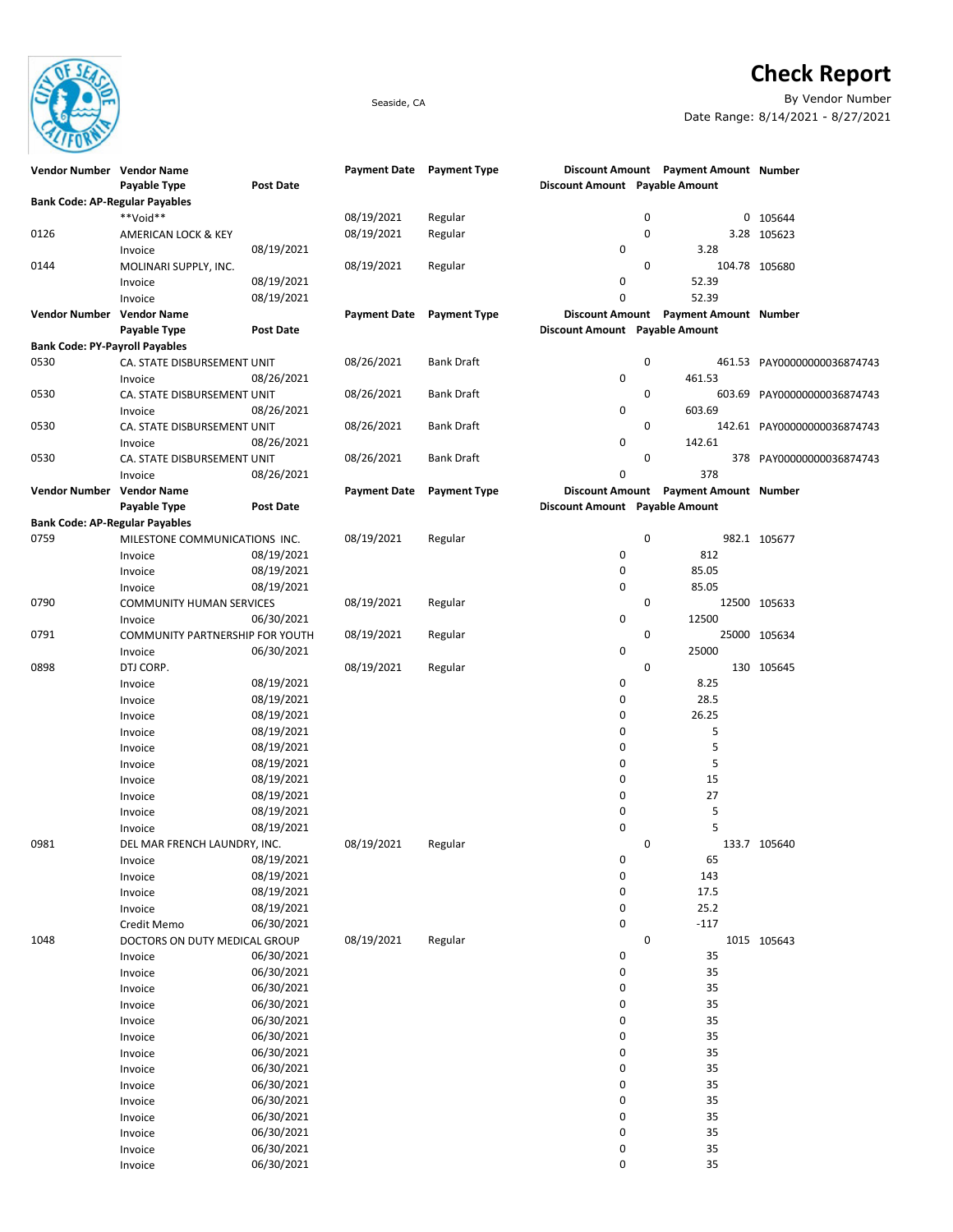

## **Check Report**

Seaside, CA By Vendor Number Date Range: 8/14/2021 - 8/27/2021

| <b>Vendor Number Vendor Name</b>      |                                 |                  |                     | Payment Date Payment Type |                                | Discount Amount Payment Amount Number |                             |
|---------------------------------------|---------------------------------|------------------|---------------------|---------------------------|--------------------------------|---------------------------------------|-----------------------------|
|                                       | Payable Type                    | <b>Post Date</b> |                     |                           | Discount Amount Payable Amount |                                       |                             |
| <b>Bank Code: AP-Regular Payables</b> |                                 |                  |                     |                           |                                |                                       |                             |
|                                       | **Void**                        |                  | 08/19/2021          | Regular                   | 0                              |                                       | 0 105644                    |
| 0126                                  | AMERICAN LOCK & KEY             |                  | 08/19/2021          | Regular                   | 0                              |                                       | 3.28 105623                 |
|                                       | Invoice                         | 08/19/2021       |                     |                           | 0                              | 3.28                                  |                             |
| 0144                                  | MOLINARI SUPPLY, INC.           |                  | 08/19/2021          | Regular                   | 0                              |                                       | 104.78 105680               |
|                                       | Invoice                         | 08/19/2021       |                     |                           | 0                              | 52.39                                 |                             |
|                                       | Invoice                         | 08/19/2021       |                     |                           | 0                              | 52.39                                 |                             |
| Vendor Number Vendor Name             |                                 |                  | <b>Payment Date</b> | <b>Payment Type</b>       |                                | Discount Amount Payment Amount Number |                             |
|                                       | Payable Type                    | <b>Post Date</b> |                     |                           | Discount Amount Payable Amount |                                       |                             |
| <b>Bank Code: PY-Payroll Payables</b> |                                 |                  |                     |                           |                                |                                       |                             |
| 0530                                  | CA. STATE DISBURSEMENT UNIT     |                  |                     | <b>Bank Draft</b>         | 0                              |                                       | 461.53 PAY00000000036874743 |
|                                       |                                 | 08/26/2021       | 08/26/2021          |                           | 0                              | 461.53                                |                             |
|                                       | Invoice                         |                  |                     |                           |                                |                                       |                             |
| 0530                                  | CA. STATE DISBURSEMENT UNIT     |                  | 08/26/2021          | <b>Bank Draft</b>         | 0                              |                                       | 603.69 PAY00000000036874743 |
|                                       | Invoice                         | 08/26/2021       |                     |                           | 0                              | 603.69                                |                             |
| 0530                                  | CA. STATE DISBURSEMENT UNIT     |                  | 08/26/2021          | <b>Bank Draft</b>         | 0                              |                                       | 142.61 PAY00000000036874743 |
|                                       | Invoice                         | 08/26/2021       |                     |                           | 0                              | 142.61                                |                             |
| 0530                                  | CA. STATE DISBURSEMENT UNIT     |                  | 08/26/2021          | <b>Bank Draft</b>         | 0                              |                                       | 378 PAY00000000036874743    |
|                                       | Invoice                         | 08/26/2021       |                     |                           | 0                              | 378                                   |                             |
| Vendor Number Vendor Name             |                                 |                  | <b>Payment Date</b> | <b>Payment Type</b>       |                                | Discount Amount Payment Amount Number |                             |
|                                       | Payable Type                    | <b>Post Date</b> |                     |                           | Discount Amount Payable Amount |                                       |                             |
| <b>Bank Code: AP-Regular Payables</b> |                                 |                  |                     |                           |                                |                                       |                             |
| 0759                                  | MILESTONE COMMUNICATIONS INC.   |                  | 08/19/2021          | Regular                   | 0                              |                                       | 982.1 105677                |
|                                       | Invoice                         | 08/19/2021       |                     |                           | 0                              | 812                                   |                             |
|                                       | Invoice                         | 08/19/2021       |                     |                           | 0                              | 85.05                                 |                             |
|                                       | Invoice                         | 08/19/2021       |                     |                           | 0                              | 85.05                                 |                             |
| 0790                                  | <b>COMMUNITY HUMAN SERVICES</b> |                  | 08/19/2021          | Regular                   | 0                              |                                       | 12500 105633                |
|                                       | Invoice                         | 06/30/2021       |                     |                           | 0                              | 12500                                 |                             |
| 0791                                  |                                 |                  | 08/19/2021          | Regular                   | 0                              |                                       | 25000 105634                |
|                                       | COMMUNITY PARTNERSHIP FOR YOUTH |                  |                     |                           |                                | 25000                                 |                             |
|                                       | Invoice                         | 06/30/2021       |                     |                           | 0                              |                                       |                             |
| 0898                                  | DTJ CORP.                       |                  | 08/19/2021          | Regular                   | 0                              |                                       | 130 105645                  |
|                                       | Invoice                         | 08/19/2021       |                     |                           | 0                              | 8.25                                  |                             |
|                                       | Invoice                         | 08/19/2021       |                     |                           | 0                              | 28.5                                  |                             |
|                                       | Invoice                         | 08/19/2021       |                     |                           | 0                              | 26.25                                 |                             |
|                                       | Invoice                         | 08/19/2021       |                     |                           | 0                              | 5                                     |                             |
|                                       | Invoice                         | 08/19/2021       |                     |                           | 0                              | 5                                     |                             |
|                                       | Invoice                         | 08/19/2021       |                     |                           | 0                              | 5                                     |                             |
|                                       | Invoice                         | 08/19/2021       |                     |                           | 0                              | 15                                    |                             |
|                                       | Invoice                         | 08/19/2021       |                     |                           | 0                              | 27                                    |                             |
|                                       | Invoice                         | 08/19/2021       |                     |                           | 0                              | 5                                     |                             |
|                                       | Invoice                         | 08/19/2021       |                     |                           | 0                              | 5                                     |                             |
| 0981                                  | DEL MAR FRENCH LAUNDRY, INC.    |                  | 08/19/2021          | Regular                   | 0                              |                                       | 133.7 105640                |
|                                       | Invoice                         | 08/19/2021       |                     |                           | 0                              | 65                                    |                             |
|                                       | Invoice                         | 08/19/2021       |                     |                           | 0                              | 143                                   |                             |
|                                       | Invoice                         | 08/19/2021       |                     |                           | 0                              | 17.5                                  |                             |
|                                       | Invoice                         | 08/19/2021       |                     |                           | 0                              | 25.2                                  |                             |
|                                       | Credit Memo                     | 06/30/2021       |                     |                           | $\pmb{0}$                      | $-117$                                |                             |
| 1048                                  | DOCTORS ON DUTY MEDICAL GROUP   |                  | 08/19/2021          | Regular                   | 0                              |                                       | 1015 105643                 |
|                                       | Invoice                         | 06/30/2021       |                     |                           | 0                              | 35                                    |                             |
|                                       |                                 | 06/30/2021       |                     |                           | 0                              | 35                                    |                             |
|                                       | Invoice                         |                  |                     |                           |                                |                                       |                             |
|                                       | Invoice                         | 06/30/2021       |                     |                           | 0                              | 35                                    |                             |
|                                       | Invoice                         | 06/30/2021       |                     |                           | 0                              | 35                                    |                             |
|                                       | Invoice                         | 06/30/2021       |                     |                           | 0                              | 35                                    |                             |
|                                       | Invoice                         | 06/30/2021       |                     |                           | 0                              | 35                                    |                             |
|                                       | Invoice                         | 06/30/2021       |                     |                           | 0                              | 35                                    |                             |
|                                       | Invoice                         | 06/30/2021       |                     |                           | 0                              | 35                                    |                             |
|                                       | Invoice                         | 06/30/2021       |                     |                           | 0                              | 35                                    |                             |
|                                       | Invoice                         | 06/30/2021       |                     |                           | 0                              | 35                                    |                             |
|                                       | Invoice                         | 06/30/2021       |                     |                           | 0                              | 35                                    |                             |
|                                       | Invoice                         | 06/30/2021       |                     |                           | 0                              | 35                                    |                             |
|                                       | Invoice                         | 06/30/2021       |                     |                           | 0                              | 35                                    |                             |
|                                       | Invoice                         | 06/30/2021       |                     |                           | 0                              | 35                                    |                             |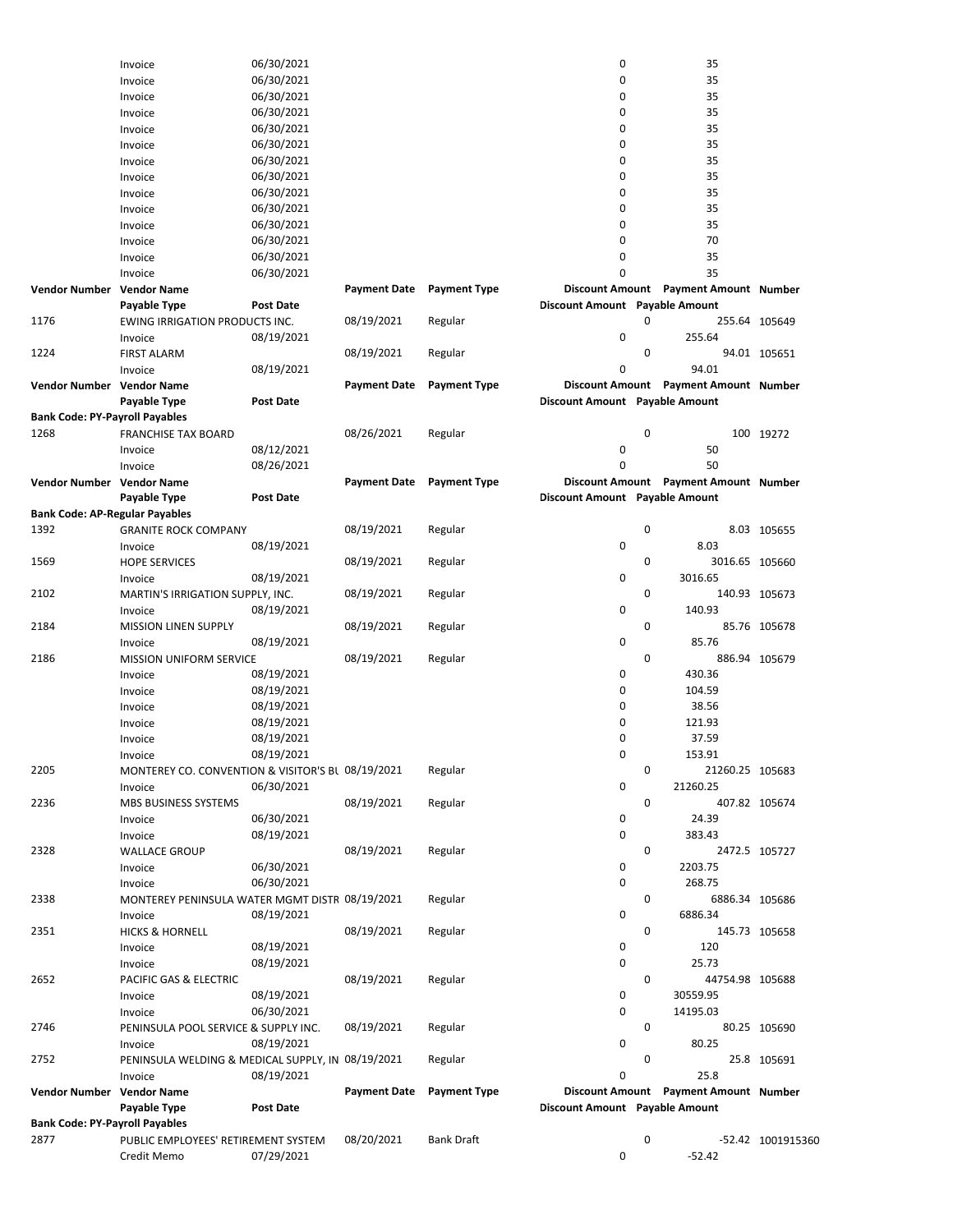|                                       | Invoice                                           | 06/30/2021       |                     |                     | 0                              |   | 35                                    |                   |
|---------------------------------------|---------------------------------------------------|------------------|---------------------|---------------------|--------------------------------|---|---------------------------------------|-------------------|
|                                       | Invoice                                           | 06/30/2021       |                     |                     | 0                              |   | 35                                    |                   |
|                                       | Invoice                                           | 06/30/2021       |                     |                     | 0                              |   | 35                                    |                   |
|                                       | Invoice                                           | 06/30/2021       |                     |                     | 0                              |   | 35                                    |                   |
|                                       | Invoice                                           | 06/30/2021       |                     |                     | 0                              |   | 35                                    |                   |
|                                       | Invoice                                           | 06/30/2021       |                     |                     | 0                              |   | 35                                    |                   |
|                                       | Invoice                                           | 06/30/2021       |                     |                     | 0                              |   | 35                                    |                   |
|                                       | Invoice                                           | 06/30/2021       |                     |                     | 0                              |   | 35                                    |                   |
|                                       | Invoice                                           | 06/30/2021       |                     |                     | 0                              |   | 35                                    |                   |
|                                       |                                                   | 06/30/2021       |                     |                     | 0                              |   | 35                                    |                   |
|                                       | Invoice                                           | 06/30/2021       |                     |                     | 0                              |   | 35                                    |                   |
|                                       | Invoice                                           |                  |                     |                     |                                |   |                                       |                   |
|                                       | Invoice                                           | 06/30/2021       |                     |                     | 0                              |   | 70                                    |                   |
|                                       | Invoice                                           | 06/30/2021       |                     |                     | 0                              |   | 35                                    |                   |
|                                       | Invoice                                           | 06/30/2021       |                     |                     | 0                              |   | 35                                    |                   |
| Vendor Number Vendor Name             |                                                   |                  | <b>Payment Date</b> | <b>Payment Type</b> |                                |   | Discount Amount Payment Amount Number |                   |
|                                       | Payable Type                                      | <b>Post Date</b> |                     |                     | Discount Amount Payable Amount |   |                                       |                   |
| 1176                                  | <b>EWING IRRIGATION PRODUCTS INC.</b>             |                  | 08/19/2021          | Regular             |                                | 0 |                                       | 255.64 105649     |
|                                       | Invoice                                           | 08/19/2021       |                     |                     | 0                              |   | 255.64                                |                   |
| 1224                                  | <b>FIRST ALARM</b>                                |                  | 08/19/2021          | Regular             |                                | 0 |                                       | 94.01 105651      |
|                                       | Invoice                                           | 08/19/2021       |                     |                     | 0                              |   | 94.01                                 |                   |
| Vendor Number Vendor Name             |                                                   |                  | <b>Payment Date</b> | <b>Payment Type</b> |                                |   | Discount Amount Payment Amount Number |                   |
|                                       | Payable Type                                      | Post Date        |                     |                     | Discount Amount Payable Amount |   |                                       |                   |
| <b>Bank Code: PY-Payroll Payables</b> |                                                   |                  |                     |                     |                                |   |                                       |                   |
| 1268                                  | <b>FRANCHISE TAX BOARD</b>                        |                  | 08/26/2021          | Regular             |                                | 0 |                                       | 100 19272         |
|                                       | Invoice                                           | 08/12/2021       |                     |                     | 0                              |   | 50                                    |                   |
|                                       | Invoice                                           | 08/26/2021       |                     |                     | 0                              |   | 50                                    |                   |
| Vendor Number Vendor Name             |                                                   |                  | <b>Payment Date</b> | <b>Payment Type</b> |                                |   | Discount Amount Payment Amount Number |                   |
|                                       |                                                   | <b>Post Date</b> |                     |                     | Discount Amount Payable Amount |   |                                       |                   |
|                                       | Payable Type                                      |                  |                     |                     |                                |   |                                       |                   |
| <b>Bank Code: AP-Regular Payables</b> |                                                   |                  |                     |                     |                                |   |                                       |                   |
| 1392                                  | <b>GRANITE ROCK COMPANY</b>                       |                  | 08/19/2021          | Regular             |                                | 0 |                                       | 8.03 105655       |
|                                       | Invoice                                           | 08/19/2021       |                     |                     | 0                              |   | 8.03                                  |                   |
| 1569                                  | <b>HOPE SERVICES</b>                              |                  | 08/19/2021          | Regular             |                                | 0 | 3016.65 105660                        |                   |
|                                       | Invoice                                           | 08/19/2021       |                     |                     | 0                              |   | 3016.65                               |                   |
| 2102                                  | MARTIN'S IRRIGATION SUPPLY, INC.                  |                  | 08/19/2021          | Regular             |                                | 0 |                                       | 140.93 105673     |
|                                       | Invoice                                           | 08/19/2021       |                     |                     | 0                              |   | 140.93                                |                   |
| 2184                                  | <b>MISSION LINEN SUPPLY</b>                       |                  | 08/19/2021          | Regular             |                                | 0 |                                       | 85.76 105678      |
|                                       | Invoice                                           | 08/19/2021       |                     |                     | 0                              |   | 85.76                                 |                   |
| 2186                                  | <b>MISSION UNIFORM SERVICE</b>                    |                  | 08/19/2021          | Regular             |                                | 0 |                                       | 886.94 105679     |
|                                       | Invoice                                           | 08/19/2021       |                     |                     | 0                              |   | 430.36                                |                   |
|                                       | Invoice                                           | 08/19/2021       |                     |                     | 0                              |   | 104.59                                |                   |
|                                       | Invoice                                           | 08/19/2021       |                     |                     | 0                              |   | 38.56                                 |                   |
|                                       | Invoice                                           | 08/19/2021       |                     |                     | 0                              |   | 121.93                                |                   |
|                                       | Invoice                                           | 08/19/2021       |                     |                     | 0                              |   | 37.59                                 |                   |
|                                       |                                                   | 08/19/2021       |                     |                     | 0                              |   | 153.91                                |                   |
|                                       | Invoice                                           |                  |                     |                     |                                |   |                                       |                   |
| 2205                                  | MONTEREY CO. CONVENTION & VISITOR'S BL 08/19/2021 |                  |                     | Regular             |                                | 0 | 21260.25 105683                       |                   |
|                                       | Invoice                                           | 06/30/2021       |                     |                     | 0                              |   | 21260.25                              |                   |
| 2236                                  | MBS BUSINESS SYSTEMS                              |                  | 08/19/2021          | Regular             |                                | 0 |                                       | 407.82 105674     |
|                                       | Invoice                                           | 06/30/2021       |                     |                     |                                |   | 24.39                                 |                   |
|                                       |                                                   |                  |                     |                     | 0                              |   |                                       |                   |
| 2328                                  | Invoice                                           | 08/19/2021       |                     |                     | 0                              |   | 383.43                                |                   |
|                                       | <b>WALLACE GROUP</b>                              |                  | 08/19/2021          | Regular             |                                | 0 |                                       | 2472.5 105727     |
|                                       | Invoice                                           | 06/30/2021       |                     |                     | 0                              |   | 2203.75                               |                   |
|                                       | Invoice                                           | 06/30/2021       |                     |                     | 0                              |   | 268.75                                |                   |
| 2338                                  | MONTEREY PENINSULA WATER MGMT DISTF 08/19/2021    |                  |                     | Regular             |                                | 0 | 6886.34 105686                        |                   |
|                                       | Invoice                                           | 08/19/2021       |                     |                     | 0                              |   | 6886.34                               |                   |
| 2351                                  | <b>HICKS &amp; HORNELL</b>                        |                  | 08/19/2021          | Regular             |                                | 0 |                                       | 145.73 105658     |
|                                       |                                                   |                  |                     |                     | 0                              |   | 120                                   |                   |
|                                       | Invoice                                           | 08/19/2021       |                     |                     |                                |   |                                       |                   |
|                                       | Invoice                                           | 08/19/2021       |                     |                     | 0                              |   | 25.73                                 |                   |
| 2652                                  | PACIFIC GAS & ELECTRIC                            |                  | 08/19/2021          | Regular             |                                | 0 | 44754.98 105688                       |                   |
|                                       | Invoice                                           | 08/19/2021       |                     |                     | 0                              |   | 30559.95                              |                   |
|                                       | Invoice                                           | 06/30/2021       |                     |                     | 0                              |   | 14195.03                              |                   |
| 2746                                  | PENINSULA POOL SERVICE & SUPPLY INC.              |                  | 08/19/2021          | Regular             |                                | 0 |                                       | 80.25 105690      |
|                                       | Invoice                                           | 08/19/2021       |                     |                     | 0                              |   | 80.25                                 |                   |
| 2752                                  | PENINSULA WELDING & MEDICAL SUPPLY, IN 08/19/2021 |                  |                     | Regular             |                                | 0 |                                       | 25.8 105691       |
|                                       | Invoice                                           | 08/19/2021       |                     |                     | 0                              |   | 25.8                                  |                   |
| Vendor Number Vendor Name             |                                                   |                  | <b>Payment Date</b> | <b>Payment Type</b> |                                |   | Discount Amount Payment Amount Number |                   |
|                                       | Payable Type                                      | Post Date        |                     |                     | Discount Amount Payable Amount |   |                                       |                   |
| <b>Bank Code: PY-Payroll Payables</b> |                                                   |                  |                     |                     |                                |   |                                       |                   |
| 2877                                  | PUBLIC EMPLOYEES' RETIREMENT SYSTEM               | 07/29/2021       | 08/20/2021          | <b>Bank Draft</b>   | 0                              | 0 | $-52.42$                              | -52.42 1001915360 |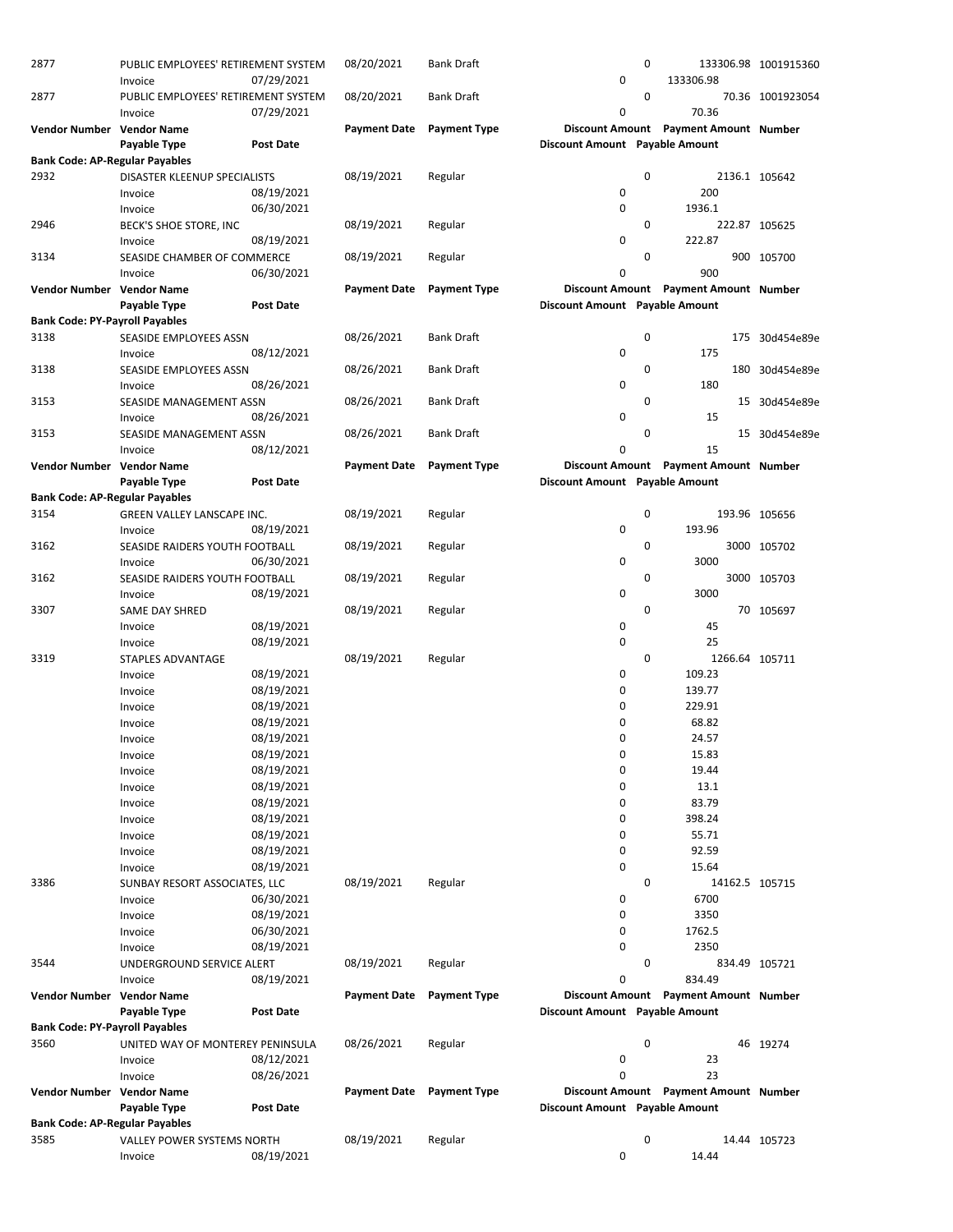| 2877                                  | PUBLIC EMPLOYEES' RETIREMENT SYSTEM |                  | 08/20/2021          | <b>Bank Draft</b>   |                                | 0                                     | 133306.98 1001915360 |  |
|---------------------------------------|-------------------------------------|------------------|---------------------|---------------------|--------------------------------|---------------------------------------|----------------------|--|
|                                       | Invoice                             | 07/29/2021       |                     |                     | 0                              | 133306.98                             |                      |  |
| 2877                                  | PUBLIC EMPLOYEES' RETIREMENT SYSTEM |                  | 08/20/2021          | <b>Bank Draft</b>   |                                | 0                                     | 70.36 1001923054     |  |
|                                       | Invoice                             | 07/29/2021       |                     |                     | 0                              | 70.36                                 |                      |  |
|                                       |                                     |                  |                     |                     |                                |                                       |                      |  |
| Vendor Number Vendor Name             |                                     |                  | <b>Payment Date</b> | <b>Payment Type</b> |                                | Discount Amount Payment Amount Number |                      |  |
|                                       | Payable Type                        | <b>Post Date</b> |                     |                     | Discount Amount Payable Amount |                                       |                      |  |
| <b>Bank Code: AP-Regular Payables</b> |                                     |                  |                     |                     |                                |                                       |                      |  |
| 2932                                  | DISASTER KLEENUP SPECIALISTS        |                  | 08/19/2021          | Regular             |                                | 0                                     | 2136.1 105642        |  |
|                                       | Invoice                             | 08/19/2021       |                     |                     | 0                              | 200                                   |                      |  |
|                                       |                                     | 06/30/2021       |                     |                     | 0                              | 1936.1                                |                      |  |
|                                       | Invoice                             |                  |                     |                     |                                |                                       |                      |  |
| 2946                                  | BECK'S SHOE STORE, INC              |                  | 08/19/2021          | Regular             |                                | 0                                     | 222.87 105625        |  |
|                                       | Invoice                             | 08/19/2021       |                     |                     | 0                              | 222.87                                |                      |  |
| 3134                                  | SEASIDE CHAMBER OF COMMERCE         |                  | 08/19/2021          | Regular             |                                | 0                                     | 900 105700           |  |
|                                       | Invoice                             | 06/30/2021       |                     |                     | 0                              | 900                                   |                      |  |
| Vendor Number Vendor Name             |                                     |                  | <b>Payment Date</b> | <b>Payment Type</b> |                                | Discount Amount Payment Amount Number |                      |  |
|                                       |                                     | <b>Post Date</b> |                     |                     |                                |                                       |                      |  |
|                                       | Payable Type                        |                  |                     |                     | Discount Amount Payable Amount |                                       |                      |  |
| <b>Bank Code: PY-Payroll Payables</b> |                                     |                  |                     |                     |                                |                                       |                      |  |
| 3138                                  | SEASIDE EMPLOYEES ASSN              |                  | 08/26/2021          | <b>Bank Draft</b>   |                                | 0                                     | 175 30d454e89e       |  |
|                                       | Invoice                             | 08/12/2021       |                     |                     | 0                              | 175                                   |                      |  |
| 3138                                  | SEASIDE EMPLOYEES ASSN              |                  | 08/26/2021          | <b>Bank Draft</b>   |                                | 0                                     | 180 30d454e89e       |  |
|                                       | Invoice                             | 08/26/2021       |                     |                     | 0                              | 180                                   |                      |  |
|                                       |                                     |                  |                     | <b>Bank Draft</b>   |                                | 0                                     |                      |  |
| 3153                                  | SEASIDE MANAGEMENT ASSN             |                  | 08/26/2021          |                     |                                |                                       | 15 30d454e89e        |  |
|                                       | Invoice                             | 08/26/2021       |                     |                     | 0                              | 15                                    |                      |  |
| 3153                                  | SEASIDE MANAGEMENT ASSN             |                  | 08/26/2021          | <b>Bank Draft</b>   |                                | 0                                     | 15 30d454e89e        |  |
|                                       | Invoice                             | 08/12/2021       |                     |                     | 0                              | 15                                    |                      |  |
| Vendor Number Vendor Name             |                                     |                  | <b>Payment Date</b> | <b>Payment Type</b> |                                | Discount Amount Payment Amount Number |                      |  |
|                                       | Payable Type                        | Post Date        |                     |                     | Discount Amount Payable Amount |                                       |                      |  |
|                                       |                                     |                  |                     |                     |                                |                                       |                      |  |
| <b>Bank Code: AP-Regular Payables</b> |                                     |                  |                     |                     |                                |                                       |                      |  |
| 3154                                  | GREEN VALLEY LANSCAPE INC.          |                  | 08/19/2021          | Regular             |                                | 0                                     | 193.96 105656        |  |
|                                       | Invoice                             | 08/19/2021       |                     |                     | 0                              | 193.96                                |                      |  |
| 3162                                  | SEASIDE RAIDERS YOUTH FOOTBALL      |                  | 08/19/2021          | Regular             |                                | 0                                     | 3000 105702          |  |
|                                       | Invoice                             | 06/30/2021       |                     |                     | 0                              | 3000                                  |                      |  |
| 3162                                  | SEASIDE RAIDERS YOUTH FOOTBALL      |                  | 08/19/2021          | Regular             |                                | 0                                     | 3000 105703          |  |
|                                       |                                     |                  |                     |                     |                                |                                       |                      |  |
|                                       | Invoice                             | 08/19/2021       |                     |                     | 0                              | 3000                                  |                      |  |
| 3307                                  | SAME DAY SHRED                      |                  | 08/19/2021          | Regular             |                                | 0                                     | 70 105697            |  |
|                                       | Invoice                             | 08/19/2021       |                     |                     | 0                              | 45                                    |                      |  |
|                                       | Invoice                             | 08/19/2021       |                     |                     | 0                              | 25                                    |                      |  |
| 3319                                  | STAPLES ADVANTAGE                   |                  | 08/19/2021          | Regular             |                                | 0                                     | 1266.64 105711       |  |
|                                       |                                     |                  |                     |                     | 0                              | 109.23                                |                      |  |
|                                       | Invoice                             | 08/19/2021       |                     |                     |                                |                                       |                      |  |
|                                       | Invoice                             | 08/19/2021       |                     |                     | 0                              | 139.77                                |                      |  |
|                                       | Invoice                             | 08/19/2021       |                     |                     | 0                              | 229.91                                |                      |  |
|                                       | Invoice                             | 08/19/2021       |                     |                     | 0                              | 68.82                                 |                      |  |
|                                       | Invoice                             | 08/19/2021       |                     |                     | 0                              | 24.57                                 |                      |  |
|                                       | Invoice                             | 08/19/2021       |                     |                     | 0                              | 15.83                                 |                      |  |
|                                       |                                     |                  |                     |                     | 0                              |                                       |                      |  |
|                                       | Invoice                             | 08/19/2021       |                     |                     |                                | 19.44                                 |                      |  |
|                                       | Invoice                             | 08/19/2021       |                     |                     | 0                              | 13.1                                  |                      |  |
|                                       | Invoice                             | 08/19/2021       |                     |                     | 0                              | 83.79                                 |                      |  |
|                                       | Invoice                             | 08/19/2021       |                     |                     | 0                              | 398.24                                |                      |  |
|                                       | Invoice                             | 08/19/2021       |                     |                     | 0                              | 55.71                                 |                      |  |
|                                       | Invoice                             | 08/19/2021       |                     |                     | 0                              | 92.59                                 |                      |  |
|                                       |                                     |                  |                     |                     | 0                              | 15.64                                 |                      |  |
|                                       | Invoice                             | 08/19/2021       |                     |                     |                                |                                       |                      |  |
| 3386                                  | SUNBAY RESORT ASSOCIATES, LLC       |                  | 08/19/2021          | Regular             |                                | 0                                     | 14162.5 105715       |  |
|                                       | Invoice                             | 06/30/2021       |                     |                     | 0                              | 6700                                  |                      |  |
|                                       | Invoice                             | 08/19/2021       |                     |                     | 0                              | 3350                                  |                      |  |
|                                       | Invoice                             | 06/30/2021       |                     |                     | 0                              | 1762.5                                |                      |  |
|                                       | Invoice                             | 08/19/2021       |                     |                     | 0                              | 2350                                  |                      |  |
| 3544                                  |                                     |                  |                     |                     |                                | 0                                     |                      |  |
|                                       | UNDERGROUND SERVICE ALERT           |                  | 08/19/2021          | Regular             |                                |                                       | 834.49 105721        |  |
|                                       | Invoice                             | 08/19/2021       |                     |                     | 0                              | 834.49                                |                      |  |
| Vendor Number Vendor Name             |                                     |                  | <b>Payment Date</b> | <b>Payment Type</b> |                                | Discount Amount Payment Amount Number |                      |  |
|                                       | Payable Type                        | Post Date        |                     |                     | Discount Amount Payable Amount |                                       |                      |  |
| <b>Bank Code: PY-Payroll Payables</b> |                                     |                  |                     |                     |                                |                                       |                      |  |
| 3560                                  | UNITED WAY OF MONTEREY PENINSULA    |                  | 08/26/2021          | Regular             |                                | 0                                     | 46 19274             |  |
|                                       |                                     |                  |                     |                     |                                |                                       |                      |  |
|                                       | Invoice                             | 08/12/2021       |                     |                     | 0                              | 23                                    |                      |  |
|                                       | Invoice                             | 08/26/2021       |                     |                     | $\Omega$                       | 23                                    |                      |  |
| Vendor Number Vendor Name             |                                     |                  | <b>Payment Date</b> | <b>Payment Type</b> |                                | Discount Amount Payment Amount Number |                      |  |
|                                       | Payable Type                        | <b>Post Date</b> |                     |                     | Discount Amount Payable Amount |                                       |                      |  |
| <b>Bank Code: AP-Regular Payables</b> |                                     |                  |                     |                     |                                |                                       |                      |  |
|                                       |                                     |                  |                     |                     |                                | 0                                     |                      |  |
| 3585                                  | VALLEY POWER SYSTEMS NORTH          |                  | 08/19/2021          | Regular             |                                |                                       | 14.44 105723         |  |
|                                       | Invoice                             | 08/19/2021       |                     |                     | 0                              | 14.44                                 |                      |  |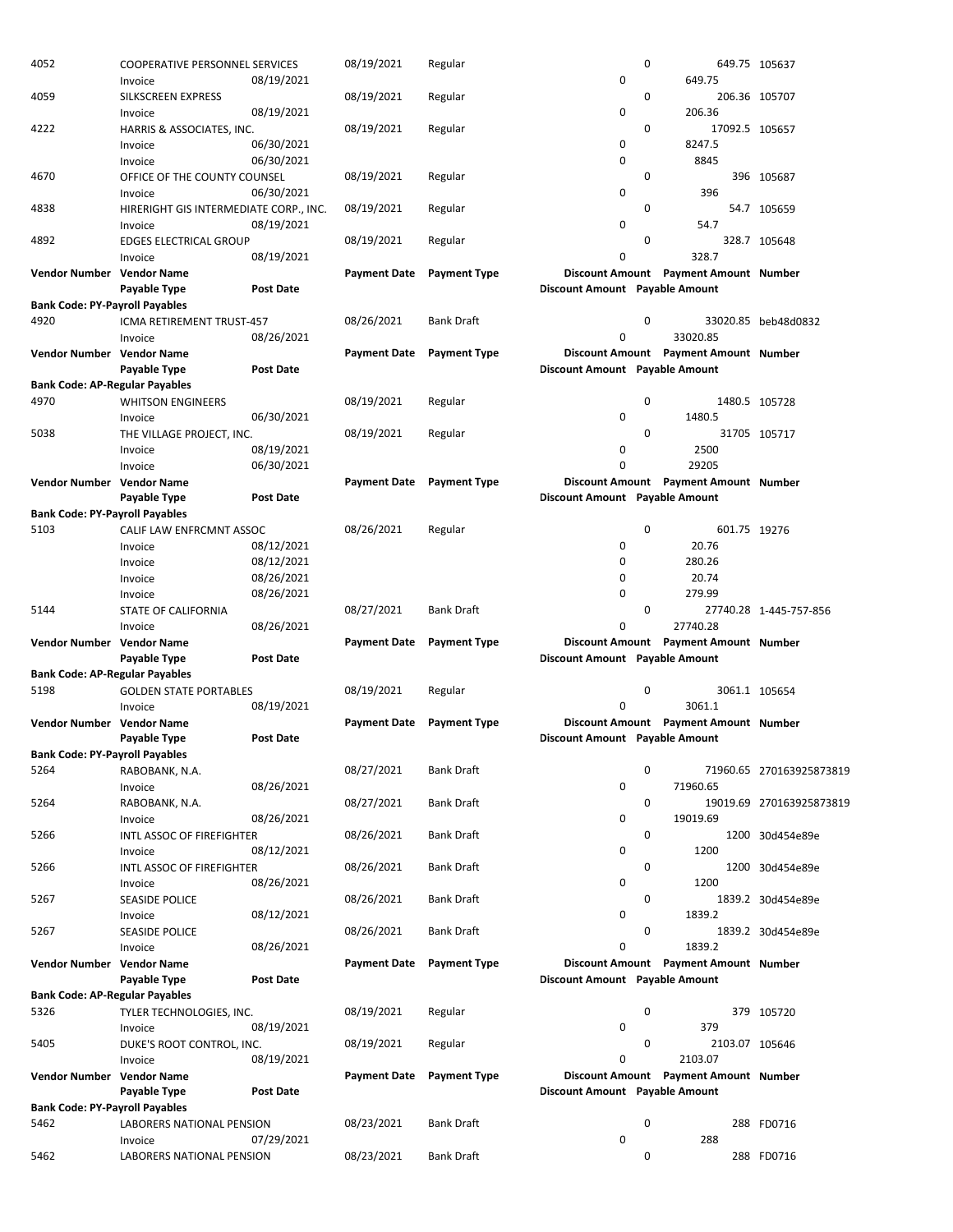| 4052                                  | <b>COOPERATIVE PERSONNEL SERVICES</b>   | 08/19/2021 | 08/19/2021          | Regular             | 0                              | 0 | 649.75                                | 649.75 105637            |
|---------------------------------------|-----------------------------------------|------------|---------------------|---------------------|--------------------------------|---|---------------------------------------|--------------------------|
| 4059                                  | Invoice<br><b>SILKSCREEN EXPRESS</b>    |            |                     |                     |                                | 0 |                                       |                          |
|                                       |                                         | 08/19/2021 | 08/19/2021          | Regular             | 0                              |   | 206.36                                | 206.36 105707            |
| 4222                                  | Invoice                                 |            | 08/19/2021          |                     |                                | 0 | 17092.5 105657                        |                          |
|                                       | HARRIS & ASSOCIATES, INC.               | 06/30/2021 |                     | Regular             | 0                              |   | 8247.5                                |                          |
|                                       | Invoice                                 | 06/30/2021 |                     |                     | 0                              |   | 8845                                  |                          |
| 4670                                  | Invoice<br>OFFICE OF THE COUNTY COUNSEL |            | 08/19/2021          | Regular             |                                | 0 |                                       | 396 105687               |
|                                       | Invoice                                 | 06/30/2021 |                     |                     | 0                              |   | 396                                   |                          |
| 4838                                  | HIRERIGHT GIS INTERMEDIATE CORP., INC.  |            | 08/19/2021          | Regular             |                                | 0 |                                       | 54.7 105659              |
|                                       | Invoice                                 | 08/19/2021 |                     |                     | 0                              |   | 54.7                                  |                          |
| 4892                                  | <b>EDGES ELECTRICAL GROUP</b>           |            | 08/19/2021          | Regular             |                                | 0 |                                       | 328.7 105648             |
|                                       | Invoice                                 | 08/19/2021 |                     |                     | $\mathbf 0$                    |   | 328.7                                 |                          |
| Vendor Number Vendor Name             |                                         |            | Payment Date        | <b>Payment Type</b> |                                |   | Discount Amount Payment Amount Number |                          |
|                                       | Payable Type                            | Post Date  |                     |                     | Discount Amount Payable Amount |   |                                       |                          |
| <b>Bank Code: PY-Payroll Payables</b> |                                         |            |                     |                     |                                |   |                                       |                          |
| 4920                                  | ICMA RETIREMENT TRUST-457               |            | 08/26/2021          | <b>Bank Draft</b>   |                                | 0 |                                       | 33020.85 beb48d0832      |
|                                       | Invoice                                 | 08/26/2021 |                     |                     | 0                              |   | 33020.85                              |                          |
| Vendor Number Vendor Name             |                                         |            | <b>Payment Date</b> | <b>Payment Type</b> |                                |   | Discount Amount Payment Amount Number |                          |
|                                       | Payable Type                            | Post Date  |                     |                     | Discount Amount Payable Amount |   |                                       |                          |
| <b>Bank Code: AP-Regular Payables</b> |                                         |            |                     |                     |                                |   |                                       |                          |
| 4970                                  | <b>WHITSON ENGINEERS</b>                |            | 08/19/2021          | Regular             |                                | 0 |                                       | 1480.5 105728            |
|                                       |                                         | 06/30/2021 |                     |                     | 0                              |   | 1480.5                                |                          |
|                                       | Invoice                                 |            |                     |                     |                                | 0 |                                       |                          |
| 5038                                  | THE VILLAGE PROJECT, INC.               |            | 08/19/2021          | Regular             |                                |   | 2500                                  | 31705 105717             |
|                                       | Invoice                                 | 08/19/2021 |                     |                     | 0                              |   |                                       |                          |
|                                       | Invoice                                 | 06/30/2021 |                     |                     | $\mathbf 0$                    |   | 29205                                 |                          |
| Vendor Number Vendor Name             |                                         |            | <b>Payment Date</b> | <b>Payment Type</b> |                                |   | Discount Amount Payment Amount Number |                          |
|                                       | Payable Type                            | Post Date  |                     |                     | Discount Amount Payable Amount |   |                                       |                          |
| <b>Bank Code: PY-Payroll Payables</b> |                                         |            |                     |                     |                                |   |                                       |                          |
| 5103                                  | CALIF LAW ENFRCMNT ASSOC                |            | 08/26/2021          | Regular             |                                | 0 | 601.75 19276                          |                          |
|                                       | Invoice                                 | 08/12/2021 |                     |                     | 0                              |   | 20.76                                 |                          |
|                                       | Invoice                                 | 08/12/2021 |                     |                     | 0                              |   | 280.26                                |                          |
|                                       | Invoice                                 | 08/26/2021 |                     |                     | 0                              |   | 20.74                                 |                          |
|                                       | Invoice                                 | 08/26/2021 |                     |                     | 0                              |   | 279.99                                |                          |
|                                       |                                         |            |                     |                     |                                |   |                                       |                          |
| 5144                                  | STATE OF CALIFORNIA                     |            | 08/27/2021          | <b>Bank Draft</b>   |                                | 0 |                                       | 27740.28 1-445-757-856   |
|                                       | Invoice                                 | 08/26/2021 |                     |                     | $\mathbf 0$                    |   | 27740.28                              |                          |
| Vendor Number Vendor Name             |                                         |            | <b>Payment Date</b> | <b>Payment Type</b> |                                |   | Discount Amount Payment Amount Number |                          |
|                                       | Payable Type                            | Post Date  |                     |                     | Discount Amount Payable Amount |   |                                       |                          |
| <b>Bank Code: AP-Regular Payables</b> |                                         |            |                     |                     |                                |   |                                       |                          |
| 5198                                  | <b>GOLDEN STATE PORTABLES</b>           |            | 08/19/2021          | Regular             |                                | 0 |                                       | 3061.1 105654            |
|                                       | Invoice                                 | 08/19/2021 |                     |                     | $\mathbf 0$                    |   | 3061.1                                |                          |
| Vendor Number Vendor Name             |                                         |            | <b>Payment Date</b> | <b>Payment Type</b> |                                |   | Discount Amount Payment Amount Number |                          |
|                                       | Payable Type                            | Post Date  |                     |                     | Discount Amount Payable Amount |   |                                       |                          |
| <b>Bank Code: PY-Payroll Payables</b> |                                         |            |                     |                     |                                |   |                                       |                          |
| 5264                                  | RABOBANK, N.A.                          |            | 08/27/2021          | <b>Bank Draft</b>   |                                | 0 |                                       | 71960.65 270163925873819 |
|                                       | Invoice                                 | 08/26/2021 |                     |                     | 0                              |   | 71960.65                              |                          |
| 5264                                  | RABOBANK, N.A.                          |            | 08/27/2021          | <b>Bank Draft</b>   |                                | 0 |                                       | 19019.69 270163925873819 |
|                                       | Invoice                                 | 08/26/2021 |                     |                     | 0                              |   | 19019.69                              |                          |
| 5266                                  | INTL ASSOC OF FIREFIGHTER               |            | 08/26/2021          | <b>Bank Draft</b>   |                                | 0 |                                       | 1200 30d454e89e          |
|                                       | Invoice                                 | 08/12/2021 |                     |                     | 0                              |   | 1200                                  |                          |
| 5266                                  | INTL ASSOC OF FIREFIGHTER               |            | 08/26/2021          | <b>Bank Draft</b>   |                                | 0 |                                       | 1200 30d454e89e          |
|                                       | Invoice                                 | 08/26/2021 |                     |                     | 0                              |   | 1200                                  |                          |
| 5267                                  | <b>SEASIDE POLICE</b>                   |            | 08/26/2021          | <b>Bank Draft</b>   |                                | 0 |                                       | 1839.2 30d454e89e        |
|                                       | Invoice                                 | 08/12/2021 |                     |                     | 0                              |   | 1839.2                                |                          |
| 5267                                  | <b>SEASIDE POLICE</b>                   |            | 08/26/2021          | <b>Bank Draft</b>   |                                | 0 |                                       | 1839.2 30d454e89e        |
|                                       | Invoice                                 | 08/26/2021 |                     |                     | 0                              |   | 1839.2                                |                          |
| Vendor Number Vendor Name             |                                         |            | <b>Payment Date</b> | <b>Payment Type</b> |                                |   | Discount Amount Payment Amount Number |                          |
|                                       | Payable Type                            | Post Date  |                     |                     | Discount Amount Payable Amount |   |                                       |                          |
| <b>Bank Code: AP-Regular Payables</b> |                                         |            |                     |                     |                                |   |                                       |                          |
| 5326                                  | TYLER TECHNOLOGIES, INC.                |            | 08/19/2021          | Regular             |                                | 0 |                                       | 379 105720               |
|                                       | Invoice                                 | 08/19/2021 |                     |                     | 0                              |   | 379                                   |                          |
| 5405                                  | DUKE'S ROOT CONTROL, INC.               |            | 08/19/2021          | Regular             |                                | 0 | 2103.07 105646                        |                          |
|                                       | Invoice                                 | 08/19/2021 |                     |                     | 0                              |   | 2103.07                               |                          |
| Vendor Number Vendor Name             |                                         |            | <b>Payment Date</b> | <b>Payment Type</b> |                                |   | Discount Amount Payment Amount Number |                          |
|                                       | Payable Type                            | Post Date  |                     |                     | Discount Amount Payable Amount |   |                                       |                          |
| <b>Bank Code: PY-Payroll Payables</b> |                                         |            |                     |                     |                                |   |                                       |                          |
| 5462                                  | LABORERS NATIONAL PENSION               |            | 08/23/2021          | <b>Bank Draft</b>   |                                | 0 |                                       | 288 FD0716               |
|                                       | Invoice                                 | 07/29/2021 |                     |                     | 0                              |   | 288                                   |                          |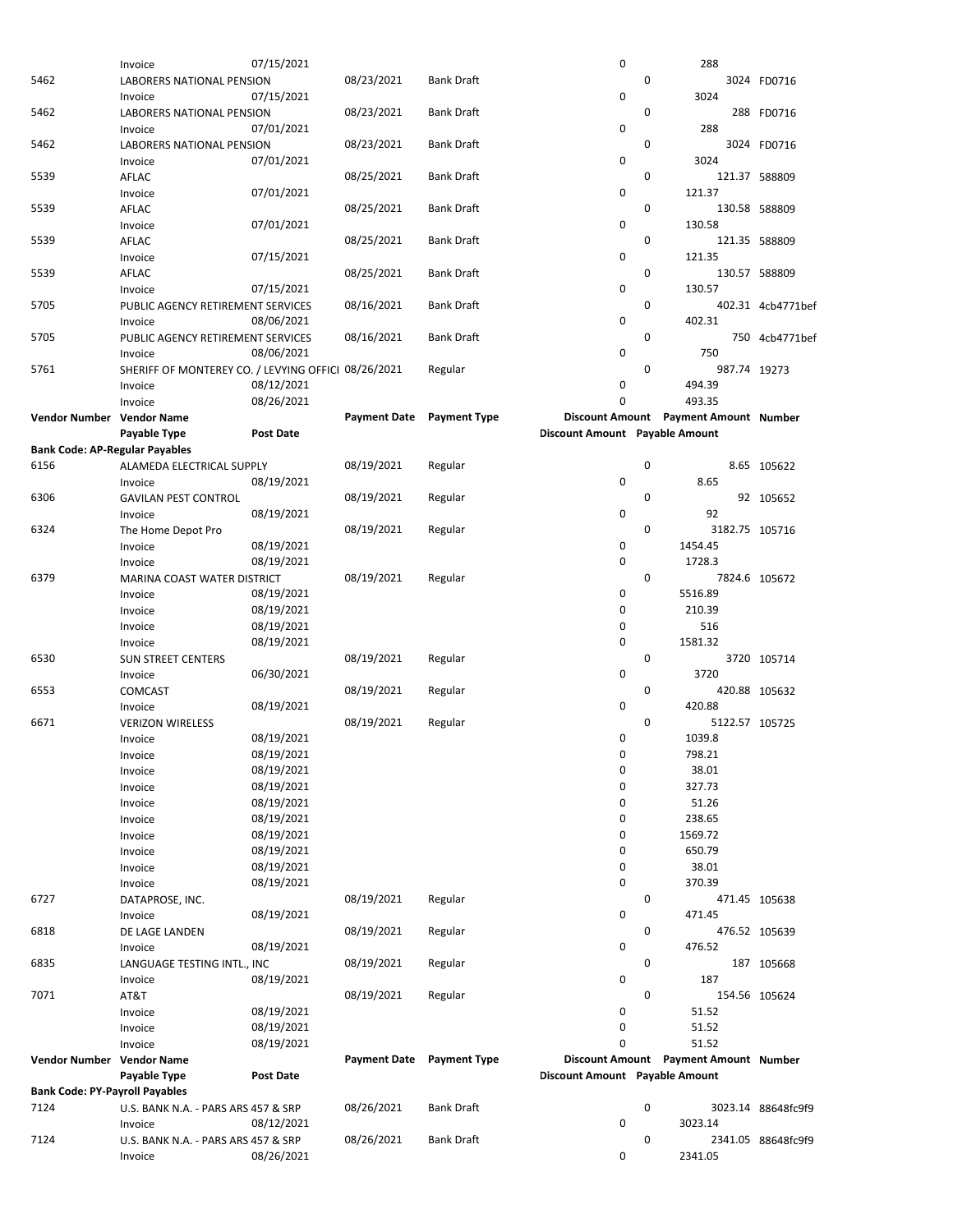|                                       | Invoice                                             | 07/15/2021       |                     |                           | 0                              |   | 288                                   |                    |
|---------------------------------------|-----------------------------------------------------|------------------|---------------------|---------------------------|--------------------------------|---|---------------------------------------|--------------------|
| 5462                                  | LABORERS NATIONAL PENSION                           |                  | 08/23/2021          | Bank Draft                |                                | 0 |                                       | 3024 FD0716        |
|                                       |                                                     |                  |                     |                           |                                |   |                                       |                    |
|                                       | Invoice                                             | 07/15/2021       |                     |                           | 0                              |   | 3024                                  |                    |
| 5462                                  | LABORERS NATIONAL PENSION                           |                  | 08/23/2021          | Bank Draft                |                                | 0 |                                       | 288 FD0716         |
|                                       | Invoice                                             | 07/01/2021       |                     |                           | 0                              |   | 288                                   |                    |
|                                       |                                                     |                  |                     |                           |                                |   |                                       |                    |
| 5462                                  | LABORERS NATIONAL PENSION                           |                  | 08/23/2021          | <b>Bank Draft</b>         |                                | 0 |                                       | 3024 FD0716        |
|                                       | Invoice                                             | 07/01/2021       |                     |                           | 0                              |   | 3024                                  |                    |
| 5539                                  | AFLAC                                               |                  | 08/25/2021          | <b>Bank Draft</b>         |                                | 0 |                                       | 121.37 588809      |
|                                       |                                                     |                  |                     |                           |                                |   |                                       |                    |
|                                       | Invoice                                             | 07/01/2021       |                     |                           | 0                              |   | 121.37                                |                    |
| 5539                                  | AFLAC                                               |                  | 08/25/2021          | <b>Bank Draft</b>         |                                | 0 |                                       | 130.58 588809      |
|                                       | Invoice                                             | 07/01/2021       |                     |                           | 0                              |   | 130.58                                |                    |
|                                       |                                                     |                  |                     |                           |                                |   |                                       |                    |
| 5539                                  | AFLAC                                               |                  | 08/25/2021          | <b>Bank Draft</b>         |                                | 0 |                                       | 121.35 588809      |
|                                       | Invoice                                             | 07/15/2021       |                     |                           | 0                              |   | 121.35                                |                    |
|                                       |                                                     |                  |                     |                           |                                |   |                                       |                    |
| 5539                                  | AFLAC                                               |                  | 08/25/2021          | <b>Bank Draft</b>         |                                | 0 |                                       | 130.57 588809      |
|                                       | Invoice                                             | 07/15/2021       |                     |                           | 0                              |   | 130.57                                |                    |
| 5705                                  | PUBLIC AGENCY RETIREMENT SERVICES                   |                  | 08/16/2021          | <b>Bank Draft</b>         |                                | 0 |                                       | 402.31 4cb4771bef  |
|                                       |                                                     | 08/06/2021       |                     |                           | 0                              |   | 402.31                                |                    |
|                                       | Invoice                                             |                  |                     |                           |                                |   |                                       |                    |
| 5705                                  | PUBLIC AGENCY RETIREMENT SERVICES                   |                  | 08/16/2021          | <b>Bank Draft</b>         |                                | 0 |                                       | 750 4cb4771bef     |
|                                       | Invoice                                             | 08/06/2021       |                     |                           | 0                              |   | 750                                   |                    |
|                                       |                                                     |                  |                     |                           |                                |   |                                       |                    |
| 5761                                  | SHERIFF OF MONTEREY CO. / LEVYING OFFICI 08/26/2021 |                  |                     | Regular                   |                                | 0 | 987.74 19273                          |                    |
|                                       | Invoice                                             | 08/12/2021       |                     |                           | 0                              |   | 494.39                                |                    |
|                                       | Invoice                                             | 08/26/2021       |                     |                           | 0                              |   | 493.35                                |                    |
|                                       |                                                     |                  |                     |                           |                                |   |                                       |                    |
| Vendor Number Vendor Name             |                                                     |                  | <b>Payment Date</b> | <b>Payment Type</b>       |                                |   | Discount Amount Payment Amount Number |                    |
|                                       | Payable Type                                        | <b>Post Date</b> |                     |                           | Discount Amount Payable Amount |   |                                       |                    |
| <b>Bank Code: AP-Regular Payables</b> |                                                     |                  |                     |                           |                                |   |                                       |                    |
|                                       |                                                     |                  |                     |                           |                                |   |                                       |                    |
| 6156                                  | ALAMEDA ELECTRICAL SUPPLY                           |                  | 08/19/2021          | Regular                   |                                | 0 |                                       | 8.65 105622        |
|                                       | Invoice                                             | 08/19/2021       |                     |                           | 0                              |   | 8.65                                  |                    |
| 6306                                  | <b>GAVILAN PEST CONTROL</b>                         |                  | 08/19/2021          | Regular                   |                                | 0 |                                       | 92 105652          |
|                                       |                                                     |                  |                     |                           |                                |   |                                       |                    |
|                                       | Invoice                                             | 08/19/2021       |                     |                           | 0                              |   | 92                                    |                    |
| 6324                                  | The Home Depot Pro                                  |                  | 08/19/2021          | Regular                   |                                | 0 | 3182.75 105716                        |                    |
|                                       | Invoice                                             | 08/19/2021       |                     |                           | 0                              |   | 1454.45                               |                    |
|                                       |                                                     |                  |                     |                           |                                |   |                                       |                    |
|                                       | Invoice                                             | 08/19/2021       |                     |                           | 0                              |   | 1728.3                                |                    |
| 6379                                  | MARINA COAST WATER DISTRICT                         |                  | 08/19/2021          | Regular                   |                                | 0 |                                       | 7824.6 105672      |
|                                       |                                                     | 08/19/2021       |                     |                           | 0                              |   | 5516.89                               |                    |
|                                       | Invoice                                             |                  |                     |                           |                                |   |                                       |                    |
|                                       | Invoice                                             | 08/19/2021       |                     |                           | 0                              |   | 210.39                                |                    |
|                                       | Invoice                                             | 08/19/2021       |                     |                           | 0                              |   | 516                                   |                    |
|                                       |                                                     |                  |                     |                           |                                |   |                                       |                    |
|                                       | Invoice                                             | 08/19/2021       |                     |                           | 0                              |   | 1581.32                               |                    |
| 6530                                  | <b>SUN STREET CENTERS</b>                           |                  | 08/19/2021          | Regular                   |                                | 0 |                                       | 3720 105714        |
|                                       | Invoice                                             | 06/30/2021       |                     |                           | 0                              |   | 3720                                  |                    |
|                                       |                                                     |                  |                     |                           |                                |   |                                       |                    |
| 6553                                  | COMCAST                                             |                  | 08/19/2021          | Regular                   |                                | 0 |                                       | 420.88 105632      |
|                                       | Invoice                                             | 08/19/2021       |                     |                           | 0                              |   | 420.88                                |                    |
| 6671                                  | <b>VERIZON WIRELESS</b>                             |                  | 08/19/2021          | Regular                   |                                | 0 | 5122.57 105725                        |                    |
|                                       |                                                     |                  |                     |                           |                                |   |                                       |                    |
|                                       | Invoice                                             | 08/19/2021       |                     |                           | 0                              |   | 1039.8                                |                    |
|                                       | Invoice                                             | 08/19/2021       |                     |                           | 0                              |   | 798.21                                |                    |
|                                       |                                                     |                  |                     |                           | 0                              |   |                                       |                    |
|                                       | Invoice                                             | 08/19/2021       |                     |                           |                                |   | 38.01                                 |                    |
|                                       | Invoice                                             | 08/19/2021       |                     |                           | 0                              |   | 327.73                                |                    |
|                                       | Invoice                                             | 08/19/2021       |                     |                           | 0                              |   | 51.26                                 |                    |
|                                       |                                                     |                  |                     |                           |                                |   |                                       |                    |
|                                       | Invoice                                             | 08/19/2021       |                     |                           | 0                              |   | 238.65                                |                    |
|                                       | Invoice                                             | 08/19/2021       |                     |                           | 0                              |   | 1569.72                               |                    |
|                                       | Invoice                                             | 08/19/2021       |                     |                           | 0                              |   | 650.79                                |                    |
|                                       |                                                     |                  |                     |                           | 0                              |   |                                       |                    |
|                                       | Invoice                                             | 08/19/2021       |                     |                           |                                |   | 38.01                                 |                    |
|                                       | Invoice                                             | 08/19/2021       |                     |                           | 0                              |   | 370.39                                |                    |
| 6727                                  | DATAPROSE, INC.                                     |                  | 08/19/2021          | Regular                   |                                | 0 |                                       | 471.45 105638      |
|                                       |                                                     |                  |                     |                           | 0                              |   |                                       |                    |
|                                       | Invoice                                             | 08/19/2021       |                     |                           |                                |   | 471.45                                |                    |
| 6818                                  | DE LAGE LANDEN                                      |                  | 08/19/2021          | Regular                   |                                | 0 |                                       | 476.52 105639      |
|                                       | Invoice                                             | 08/19/2021       |                     |                           | 0                              |   | 476.52                                |                    |
|                                       |                                                     |                  |                     |                           |                                |   |                                       |                    |
| 6835                                  | LANGUAGE TESTING INTL., INC                         |                  | 08/19/2021          | Regular                   |                                | 0 |                                       | 187 105668         |
|                                       | Invoice                                             | 08/19/2021       |                     |                           | 0                              |   | 187                                   |                    |
| 7071                                  | AT&T                                                |                  | 08/19/2021          | Regular                   |                                | 0 |                                       | 154.56 105624      |
|                                       |                                                     |                  |                     |                           |                                |   |                                       |                    |
|                                       | Invoice                                             | 08/19/2021       |                     |                           | 0                              |   | 51.52                                 |                    |
|                                       | Invoice                                             | 08/19/2021       |                     |                           | 0                              |   | 51.52                                 |                    |
|                                       | Invoice                                             | 08/19/2021       |                     |                           | 0                              |   | 51.52                                 |                    |
|                                       |                                                     |                  |                     |                           |                                |   |                                       |                    |
| Vendor Number Vendor Name             |                                                     |                  |                     | Payment Date Payment Type |                                |   | Discount Amount Payment Amount Number |                    |
|                                       | Payable Type                                        | <b>Post Date</b> |                     |                           | Discount Amount Payable Amount |   |                                       |                    |
| <b>Bank Code: PY-Payroll Payables</b> |                                                     |                  |                     |                           |                                |   |                                       |                    |
|                                       |                                                     |                  |                     |                           |                                |   |                                       |                    |
| 7124                                  | U.S. BANK N.A. - PARS ARS 457 & SRP                 |                  | 08/26/2021          | <b>Bank Draft</b>         |                                | 0 |                                       | 3023.14 88648fc9f9 |
|                                       | Invoice                                             | 08/12/2021       |                     |                           | 0                              |   | 3023.14                               |                    |
|                                       |                                                     |                  |                     |                           |                                |   |                                       |                    |
| 7124                                  | U.S. BANK N.A. - PARS ARS 457 & SRP                 |                  | 08/26/2021          | <b>Bank Draft</b>         |                                | 0 |                                       | 2341.05 88648fc9f9 |
|                                       | Invoice                                             | 08/26/2021       |                     |                           | 0                              |   | 2341.05                               |                    |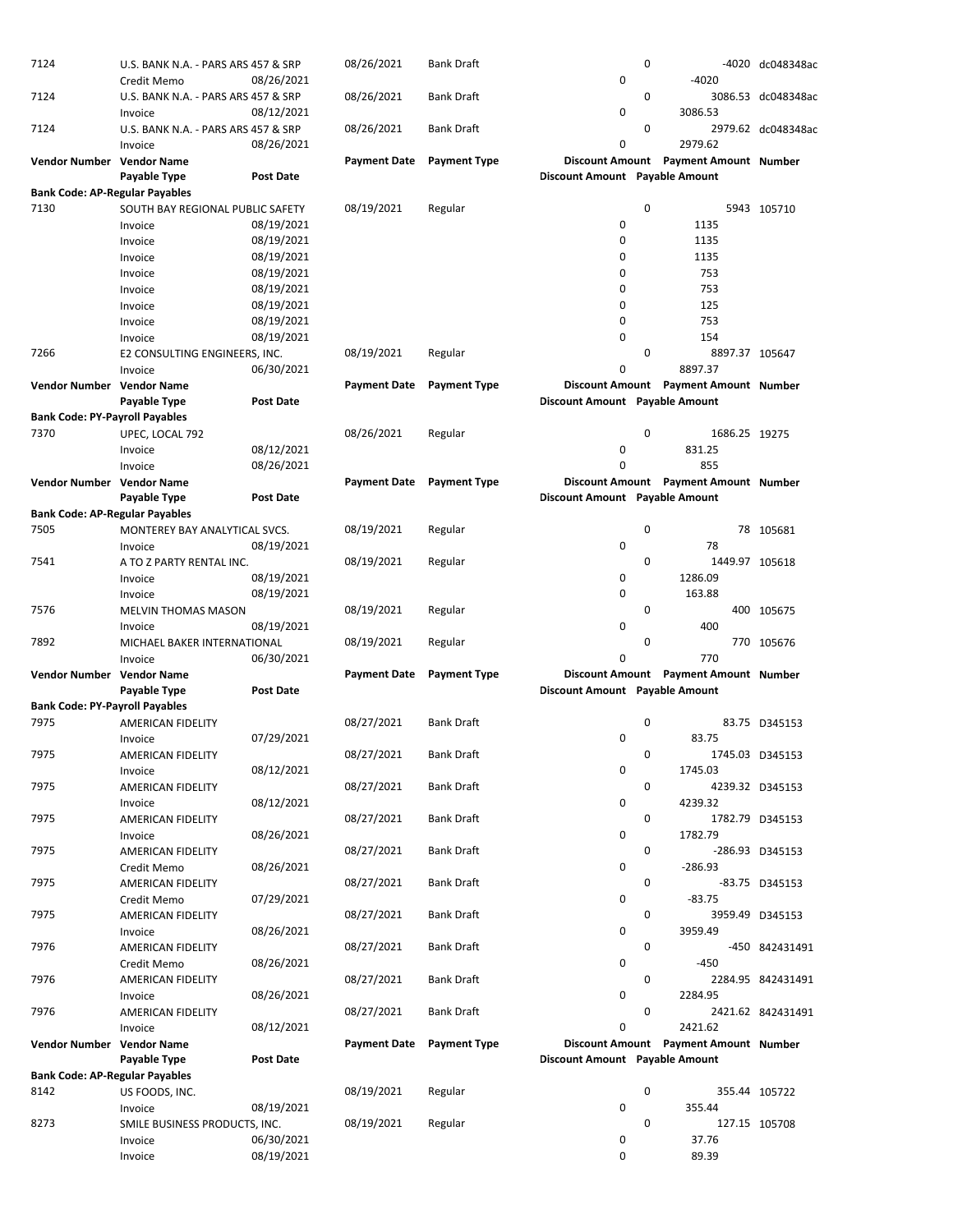| 7124                                  | U.S. BANK N.A. - PARS ARS 457 & SRP |                          | 08/26/2021          | <b>Bank Draft</b>   |                                | $\mathbf 0$ |                                       | -4020 dc048348ac   |
|---------------------------------------|-------------------------------------|--------------------------|---------------------|---------------------|--------------------------------|-------------|---------------------------------------|--------------------|
|                                       | Credit Memo                         | 08/26/2021               |                     |                     | $\mathbf 0$                    |             | $-4020$                               |                    |
|                                       |                                     |                          |                     |                     |                                |             |                                       |                    |
| 7124                                  | U.S. BANK N.A. - PARS ARS 457 & SRP |                          | 08/26/2021          | <b>Bank Draft</b>   |                                | 0           |                                       | 3086.53 dc048348ac |
|                                       | Invoice                             | 08/12/2021               |                     |                     | 0                              |             | 3086.53                               |                    |
| 7124                                  | U.S. BANK N.A. - PARS ARS 457 & SRP |                          | 08/26/2021          | Bank Draft          |                                | 0           |                                       | 2979.62 dc048348ac |
|                                       | Invoice                             | 08/26/2021               |                     |                     | 0                              |             | 2979.62                               |                    |
|                                       |                                     |                          | <b>Payment Date</b> | <b>Payment Type</b> |                                |             |                                       |                    |
| Vendor Number Vendor Name             |                                     |                          |                     |                     |                                |             | Discount Amount Payment Amount Number |                    |
|                                       | Payable Type                        | Post Date                |                     |                     | Discount Amount Payable Amount |             |                                       |                    |
| <b>Bank Code: AP-Regular Payables</b> |                                     |                          |                     |                     |                                |             |                                       |                    |
| 7130                                  | SOUTH BAY REGIONAL PUBLIC SAFETY    |                          | 08/19/2021          | Regular             |                                | $\mathbf 0$ |                                       | 5943 105710        |
|                                       | Invoice                             | 08/19/2021               |                     |                     | 0                              |             | 1135                                  |                    |
|                                       |                                     |                          |                     |                     |                                |             |                                       |                    |
|                                       | Invoice                             | 08/19/2021               |                     |                     | 0                              |             | 1135                                  |                    |
|                                       | Invoice                             | 08/19/2021               |                     |                     | 0                              |             | 1135                                  |                    |
|                                       | Invoice                             | 08/19/2021               |                     |                     | 0                              |             | 753                                   |                    |
|                                       | Invoice                             | 08/19/2021               |                     |                     | 0                              |             | 753                                   |                    |
|                                       | Invoice                             | 08/19/2021               |                     |                     | 0                              |             | 125                                   |                    |
|                                       |                                     |                          |                     |                     | $\mathbf 0$                    |             |                                       |                    |
|                                       | Invoice                             | 08/19/2021               |                     |                     |                                |             | 753                                   |                    |
|                                       | Invoice                             | 08/19/2021               |                     |                     | 0                              |             | 154                                   |                    |
| 7266                                  | E2 CONSULTING ENGINEERS, INC.       |                          | 08/19/2021          | Regular             |                                | 0           | 8897.37 105647                        |                    |
|                                       | Invoice                             | 06/30/2021               |                     |                     | 0                              |             | 8897.37                               |                    |
| Vendor Number Vendor Name             |                                     |                          | <b>Payment Date</b> | <b>Payment Type</b> |                                |             | Discount Amount Payment Amount Number |                    |
|                                       |                                     |                          |                     |                     |                                |             |                                       |                    |
|                                       | Payable Type                        | <b>Post Date</b>         |                     |                     | Discount Amount Payable Amount |             |                                       |                    |
| <b>Bank Code: PY-Payroll Payables</b> |                                     |                          |                     |                     |                                |             |                                       |                    |
| 7370                                  | UPEC, LOCAL 792                     |                          | 08/26/2021          | Regular             |                                | $\mathbf 0$ | 1686.25 19275                         |                    |
|                                       | Invoice                             | 08/12/2021               |                     |                     | 0                              |             | 831.25                                |                    |
|                                       | Invoice                             | 08/26/2021               |                     |                     | $\Omega$                       |             | 855                                   |                    |
|                                       |                                     |                          |                     |                     |                                |             |                                       |                    |
| Vendor Number Vendor Name             |                                     |                          | <b>Payment Date</b> | <b>Payment Type</b> |                                |             | Discount Amount Payment Amount Number |                    |
|                                       | Payable Type                        | <b>Post Date</b>         |                     |                     | Discount Amount Payable Amount |             |                                       |                    |
| <b>Bank Code: AP-Regular Payables</b> |                                     |                          |                     |                     |                                |             |                                       |                    |
| 7505                                  | MONTEREY BAY ANALYTICAL SVCS.       |                          | 08/19/2021          | Regular             |                                | 0           |                                       | 78 105681          |
|                                       | Invoice                             | 08/19/2021               |                     |                     | 0                              |             | 78                                    |                    |
|                                       |                                     |                          |                     |                     |                                |             |                                       |                    |
| 7541                                  | A TO Z PARTY RENTAL INC.            |                          | 08/19/2021          | Regular             |                                | 0           | 1449.97 105618                        |                    |
|                                       | Invoice                             | 08/19/2021               |                     |                     | 0                              |             | 1286.09                               |                    |
|                                       | Invoice                             | 08/19/2021               |                     |                     | $\mathbf 0$                    |             | 163.88                                |                    |
| 7576                                  | <b>MELVIN THOMAS MASON</b>          |                          | 08/19/2021          | Regular             |                                | 0           |                                       | 400 105675         |
|                                       |                                     |                          |                     |                     |                                |             |                                       |                    |
|                                       | Invoice                             | 08/19/2021               |                     |                     | 0                              |             | 400                                   |                    |
| 7892                                  | MICHAEL BAKER INTERNATIONAL         |                          | 08/19/2021          | Regular             |                                | 0           |                                       | 770 105676         |
|                                       |                                     |                          |                     |                     |                                |             |                                       |                    |
|                                       | Invoice                             | 06/30/2021               |                     |                     | 0                              |             | 770                                   |                    |
|                                       |                                     |                          |                     |                     |                                |             |                                       |                    |
| Vendor Number Vendor Name             |                                     |                          | <b>Payment Date</b> | <b>Payment Type</b> |                                |             | Discount Amount Payment Amount Number |                    |
|                                       | Payable Type                        | Post Date                |                     |                     | Discount Amount Payable Amount |             |                                       |                    |
| <b>Bank Code: PY-Payroll Payables</b> |                                     |                          |                     |                     |                                |             |                                       |                    |
| 7975                                  | <b>AMERICAN FIDELITY</b>            |                          | 08/27/2021          | <b>Bank Draft</b>   |                                | $\Omega$    |                                       | 83.75 D345153      |
|                                       |                                     |                          |                     |                     |                                |             |                                       |                    |
|                                       | Invoice                             | 07/29/2021               |                     |                     | 0                              |             | 83.75                                 |                    |
| 7975                                  | AMERICAN FIDELITY                   |                          | 08/27/2021          | <b>Bank Draft</b>   |                                | 0           |                                       | 1745.03 D345153    |
|                                       | Invoice                             | 08/12/2021               |                     |                     | 0                              |             | 1745.03                               |                    |
| 7975                                  | AMERICAN FIDELITY                   |                          | 08/27/2021          | <b>Bank Draft</b>   |                                | 0           |                                       | 4239.32 D345153    |
|                                       | Invoice                             | 08/12/2021               |                     |                     | 0                              |             | 4239.32                               |                    |
|                                       |                                     |                          |                     |                     |                                |             |                                       |                    |
| 7975                                  | AMERICAN FIDELITY                   |                          | 08/27/2021          | <b>Bank Draft</b>   |                                | 0           |                                       | 1782.79 D345153    |
|                                       | Invoice                             | 08/26/2021               |                     |                     | 0                              |             | 1782.79                               |                    |
| 7975                                  | AMERICAN FIDELITY                   |                          | 08/27/2021          | <b>Bank Draft</b>   |                                | 0           |                                       | -286.93 D345153    |
|                                       | Credit Memo                         | 08/26/2021               |                     |                     | 0                              |             | $-286.93$                             |                    |
| 7975                                  |                                     |                          | 08/27/2021          | <b>Bank Draft</b>   |                                | 0           |                                       |                    |
|                                       | AMERICAN FIDELITY                   |                          |                     |                     |                                |             |                                       | -83.75 D345153     |
|                                       | Credit Memo                         | 07/29/2021               |                     |                     | 0                              |             | $-83.75$                              |                    |
| 7975                                  | AMERICAN FIDELITY                   |                          | 08/27/2021          | <b>Bank Draft</b>   |                                | 0           |                                       | 3959.49 D345153    |
|                                       | Invoice                             | 08/26/2021               |                     |                     | 0                              |             | 3959.49                               |                    |
| 7976                                  | AMERICAN FIDELITY                   |                          | 08/27/2021          | <b>Bank Draft</b>   |                                | 0           |                                       | -450 842431491     |
|                                       |                                     |                          |                     |                     | 0                              |             | $-450$                                |                    |
|                                       | Credit Memo                         | 08/26/2021               |                     |                     |                                |             |                                       |                    |
| 7976                                  | AMERICAN FIDELITY                   |                          | 08/27/2021          | <b>Bank Draft</b>   |                                | 0           |                                       | 2284.95 842431491  |
|                                       | Invoice                             | 08/26/2021               |                     |                     | 0                              |             | 2284.95                               |                    |
| 7976                                  | AMERICAN FIDELITY                   |                          | 08/27/2021          | <b>Bank Draft</b>   |                                | 0           |                                       | 2421.62 842431491  |
|                                       | Invoice                             | 08/12/2021               |                     |                     | 0                              |             | 2421.62                               |                    |
|                                       |                                     |                          |                     |                     |                                |             |                                       |                    |
| Vendor Number Vendor Name             |                                     |                          | <b>Payment Date</b> | <b>Payment Type</b> |                                |             | Discount Amount Payment Amount Number |                    |
|                                       | Payable Type                        | <b>Post Date</b>         |                     |                     | Discount Amount Payable Amount |             |                                       |                    |
| <b>Bank Code: AP-Regular Payables</b> |                                     |                          |                     |                     |                                |             |                                       |                    |
| 8142                                  | US FOODS, INC.                      |                          | 08/19/2021          | Regular             |                                | 0           |                                       | 355.44 105722      |
|                                       |                                     |                          |                     |                     |                                |             |                                       |                    |
|                                       | Invoice                             | 08/19/2021               |                     |                     | 0                              |             | 355.44                                |                    |
| 8273                                  | SMILE BUSINESS PRODUCTS, INC.       |                          | 08/19/2021          | Regular             |                                | $\mathbf 0$ |                                       | 127.15 105708      |
|                                       | Invoice<br>Invoice                  | 06/30/2021<br>08/19/2021 |                     |                     | 0<br>0                         |             | 37.76<br>89.39                        |                    |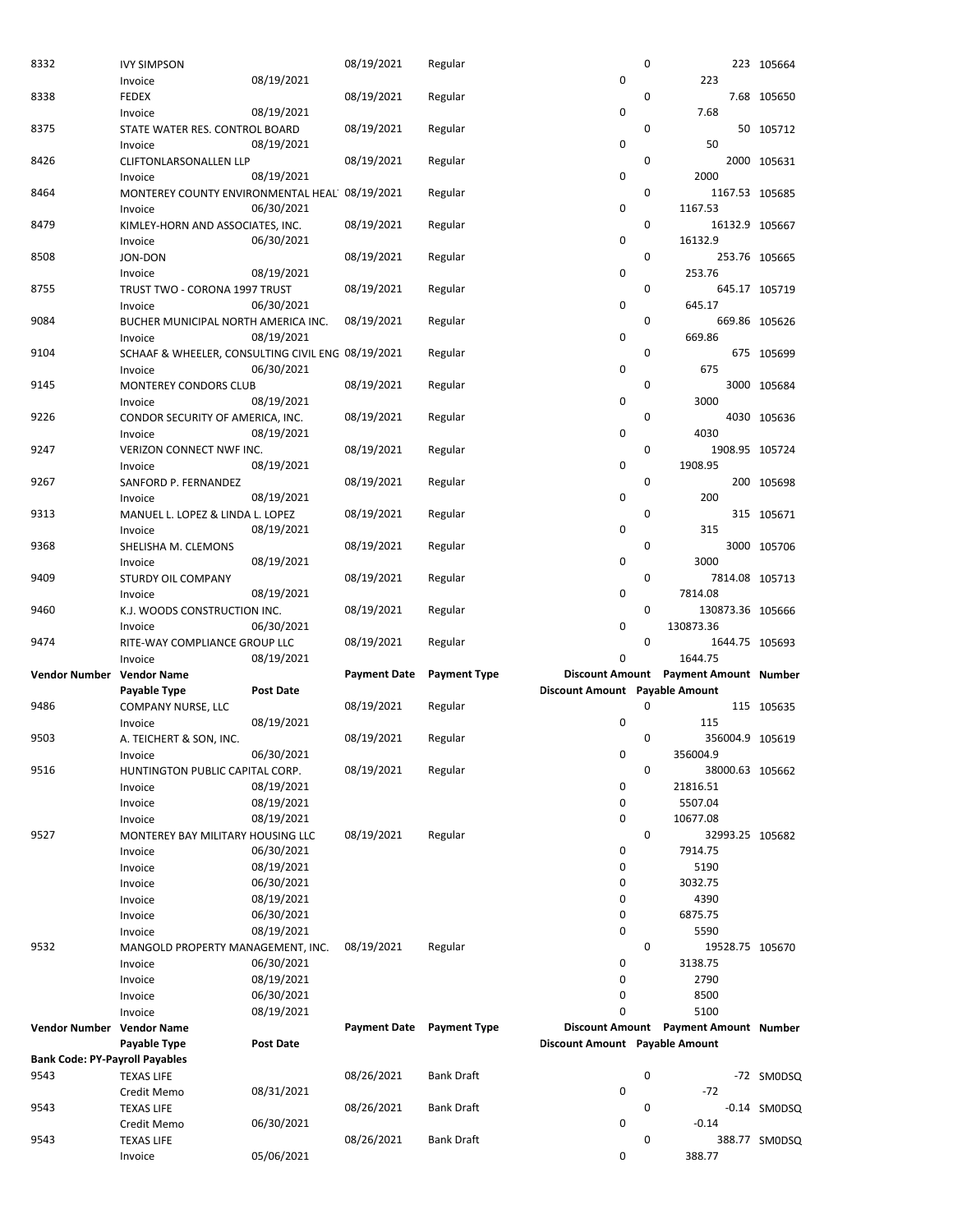| 8332                                  | <b>IVY SIMPSON</b>                                |                  | 08/19/2021          | Regular             |                                | 0           |                                         | 223 105664     |
|---------------------------------------|---------------------------------------------------|------------------|---------------------|---------------------|--------------------------------|-------------|-----------------------------------------|----------------|
|                                       | Invoice                                           | 08/19/2021       |                     |                     | 0                              |             | 223                                     |                |
| 8338                                  | <b>FEDEX</b>                                      |                  | 08/19/2021          | Regular             |                                | 0           |                                         | 7.68 105650    |
|                                       | Invoice                                           | 08/19/2021       |                     |                     | 0                              |             | 7.68                                    |                |
| 8375                                  | STATE WATER RES. CONTROL BOARD                    |                  | 08/19/2021          | Regular             |                                | 0           |                                         | 50 105712      |
|                                       | Invoice                                           | 08/19/2021       |                     |                     | 0                              |             | 50                                      |                |
| 8426                                  | CLIFTONLARSONALLEN LLP                            |                  | 08/19/2021          | Regular             |                                | 0           |                                         | 2000 105631    |
|                                       | Invoice                                           | 08/19/2021       |                     |                     | 0                              |             | 2000                                    |                |
| 8464                                  | MONTEREY COUNTY ENVIRONMENTAL HEAL 08/19/2021     |                  |                     | Regular             |                                | 0           | 1167.53 105685                          |                |
|                                       | Invoice                                           | 06/30/2021       |                     |                     | 0                              |             | 1167.53                                 |                |
| 8479                                  | KIMLEY-HORN AND ASSOCIATES, INC.                  |                  | 08/19/2021          | Regular             |                                | $\mathbf 0$ | 16132.9 105667                          |                |
|                                       | Invoice                                           | 06/30/2021       |                     |                     | 0                              |             | 16132.9                                 |                |
| 8508                                  | <b>JON-DON</b>                                    |                  | 08/19/2021          | Regular             |                                | $\mathbf 0$ |                                         | 253.76 105665  |
|                                       | Invoice                                           | 08/19/2021       |                     |                     | 0                              |             | 253.76                                  |                |
| 8755                                  | TRUST TWO - CORONA 1997 TRUST                     |                  | 08/19/2021          | Regular             |                                | $\mathbf 0$ |                                         | 645.17 105719  |
|                                       | Invoice                                           | 06/30/2021       |                     |                     | 0                              |             | 645.17                                  |                |
| 9084                                  | BUCHER MUNICIPAL NORTH AMERICA INC.               |                  | 08/19/2021          | Regular             |                                | 0           |                                         | 669.86 105626  |
|                                       | Invoice                                           | 08/19/2021       |                     |                     | 0                              |             | 669.86                                  |                |
| 9104                                  | SCHAAF & WHEELER, CONSULTING CIVIL ENC 08/19/2021 |                  |                     | Regular             |                                | 0           |                                         | 675 105699     |
|                                       | Invoice                                           | 06/30/2021       |                     |                     | 0                              |             | 675                                     |                |
| 9145                                  | MONTEREY CONDORS CLUB                             |                  | 08/19/2021          | Regular             |                                | 0           |                                         | 3000 105684    |
|                                       | Invoice                                           | 08/19/2021       |                     |                     | 0                              |             | 3000                                    |                |
| 9226                                  | CONDOR SECURITY OF AMERICA, INC.                  |                  | 08/19/2021          | Regular             |                                | 0           |                                         | 4030 105636    |
|                                       | Invoice                                           | 08/19/2021       |                     |                     | 0                              |             | 4030                                    |                |
| 9247                                  | <b>VERIZON CONNECT NWF INC.</b>                   |                  | 08/19/2021          | Regular             |                                | 0           | 1908.95 105724                          |                |
|                                       | Invoice                                           | 08/19/2021       |                     |                     | 0                              |             | 1908.95                                 |                |
| 9267                                  | SANFORD P. FERNANDEZ                              |                  | 08/19/2021          | Regular             |                                | $\mathbf 0$ |                                         | 200 105698     |
|                                       | Invoice                                           | 08/19/2021       |                     |                     | 0                              |             | 200                                     |                |
| 9313                                  |                                                   |                  | 08/19/2021          | Regular             |                                | 0           |                                         |                |
|                                       | MANUEL L. LOPEZ & LINDA L. LOPEZ                  | 08/19/2021       |                     |                     | 0                              |             | 315                                     | 315 105671     |
|                                       | Invoice                                           |                  | 08/19/2021          |                     |                                | 0           |                                         |                |
| 9368                                  | SHELISHA M. CLEMONS                               |                  |                     | Regular             |                                |             |                                         | 3000 105706    |
|                                       | Invoice                                           | 08/19/2021       |                     |                     | 0                              | 0           | 3000                                    |                |
| 9409                                  | STURDY OIL COMPANY                                |                  | 08/19/2021          | Regular             |                                |             | 7814.08 105713                          |                |
|                                       | Invoice                                           | 08/19/2021       |                     |                     | 0                              |             | 7814.08                                 |                |
|                                       |                                                   |                  |                     |                     |                                |             |                                         |                |
| 9460                                  | K.J. WOODS CONSTRUCTION INC.                      |                  | 08/19/2021          | Regular             |                                | 0           | 130873.36 105666                        |                |
|                                       | Invoice                                           | 06/30/2021       |                     |                     | 0                              |             | 130873.36                               |                |
| 9474                                  | RITE-WAY COMPLIANCE GROUP LLC                     |                  | 08/19/2021          | Regular             |                                | $\mathbf 0$ | 1644.75 105693                          |                |
|                                       | Invoice                                           | 08/19/2021       |                     |                     | 0                              |             | 1644.75                                 |                |
| <b>Vendor Number</b>                  | <b>Vendor Name</b>                                |                  | Payment Date        | <b>Payment Type</b> |                                |             | Discount Amount  Payment Amount  Number |                |
|                                       | Payable Type                                      | <b>Post Date</b> |                     |                     | Discount Amount Payable Amount |             |                                         |                |
| 9486                                  | COMPANY NURSE, LLC                                |                  | 08/19/2021          | Regular             |                                | 0           |                                         | 115 105635     |
|                                       | Invoice                                           | 08/19/2021       |                     |                     | 0                              |             | 115                                     |                |
| 9503                                  | A. TEICHERT & SON, INC.                           |                  | 08/19/2021          | Regular             |                                | 0           | 356004.9 105619                         |                |
|                                       | Invoice                                           | 06/30/2021       |                     |                     | 0                              |             | 356004.9                                |                |
| 9516                                  | HUNTINGTON PUBLIC CAPITAL CORP.                   |                  | 08/19/2021          | Regular             |                                | 0           | 38000.63 105662                         |                |
|                                       | Invoice                                           | 08/19/2021       |                     |                     | 0                              |             | 21816.51                                |                |
|                                       | Invoice                                           | 08/19/2021       |                     |                     | 0                              |             | 5507.04                                 |                |
|                                       | Invoice                                           | 08/19/2021       |                     |                     | 0                              |             | 10677.08                                |                |
| 9527                                  | MONTEREY BAY MILITARY HOUSING LLC                 |                  | 08/19/2021          | Regular             |                                | 0           | 32993.25 105682                         |                |
|                                       | Invoice                                           | 06/30/2021       |                     |                     | 0                              |             | 7914.75                                 |                |
|                                       | Invoice                                           | 08/19/2021       |                     |                     | 0                              |             | 5190                                    |                |
|                                       | Invoice                                           | 06/30/2021       |                     |                     | 0                              |             | 3032.75                                 |                |
|                                       | Invoice                                           | 08/19/2021       |                     |                     | 0                              |             | 4390                                    |                |
|                                       | Invoice                                           | 06/30/2021       |                     |                     | 0                              |             | 6875.75                                 |                |
|                                       | Invoice                                           | 08/19/2021       |                     |                     | 0                              |             | 5590                                    |                |
| 9532                                  | MANGOLD PROPERTY MANAGEMENT, INC.                 |                  | 08/19/2021          | Regular             |                                | 0           | 19528.75 105670                         |                |
|                                       | Invoice                                           | 06/30/2021       |                     |                     | 0                              |             | 3138.75                                 |                |
|                                       | Invoice                                           | 08/19/2021       |                     |                     | 0                              |             | 2790                                    |                |
|                                       | Invoice                                           | 06/30/2021       |                     |                     | 0                              |             | 8500                                    |                |
|                                       | Invoice                                           | 08/19/2021       |                     |                     | 0                              |             | 5100                                    |                |
| Vendor Number Vendor Name             |                                                   |                  | <b>Payment Date</b> | <b>Payment Type</b> |                                |             | Discount Amount Payment Amount Number   |                |
|                                       | Payable Type                                      | <b>Post Date</b> |                     |                     | Discount Amount Payable Amount |             |                                         |                |
| <b>Bank Code: PY-Payroll Payables</b> |                                                   |                  |                     |                     |                                |             |                                         |                |
| 9543                                  | <b>TEXAS LIFE</b>                                 |                  | 08/26/2021          | <b>Bank Draft</b>   |                                | 0           |                                         | -72 SMODSQ     |
|                                       | Credit Memo                                       | 08/31/2021       |                     |                     | 0                              |             | $-72$                                   |                |
| 9543                                  | <b>TEXAS LIFE</b>                                 |                  | 08/26/2021          | <b>Bank Draft</b>   |                                | 0           |                                         | $-0.14$ SMODSQ |
|                                       | Credit Memo                                       | 06/30/2021       |                     |                     | 0                              |             | $-0.14$                                 |                |
| 9543                                  | <b>TEXAS LIFE</b>                                 |                  | 08/26/2021          | <b>Bank Draft</b>   |                                | 0           |                                         | 388.77 SM0DSQ  |
|                                       | Invoice                                           | 05/06/2021       |                     |                     | 0                              |             | 388.77                                  |                |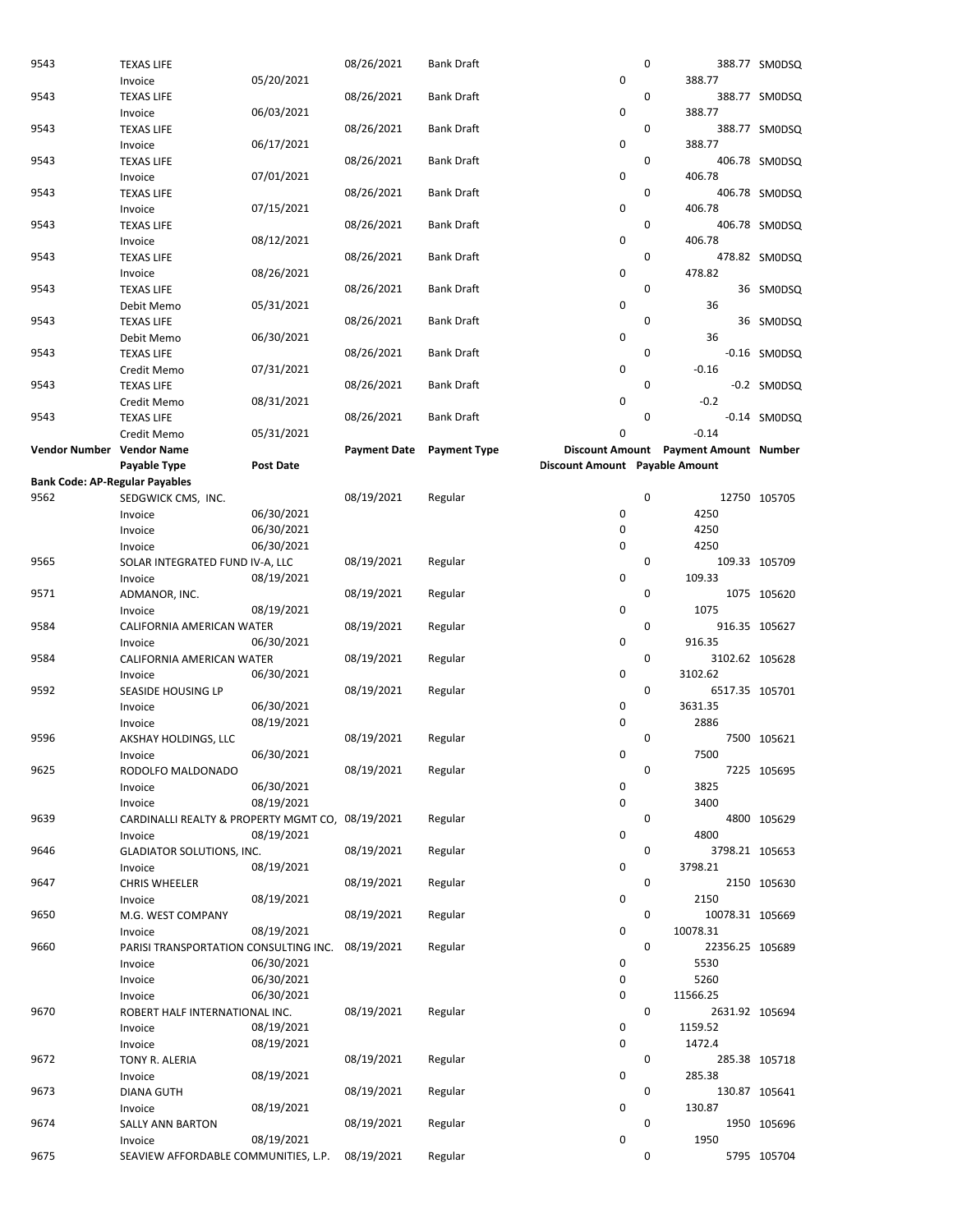| 9543                                  | <b>TEXAS LIFE</b>                                |            | 08/26/2021          | <b>Bank Draft</b>   |                                | 0                                     | 388.77 SM0DSQ  |
|---------------------------------------|--------------------------------------------------|------------|---------------------|---------------------|--------------------------------|---------------------------------------|----------------|
|                                       | Invoice                                          | 05/20/2021 |                     |                     | 0                              | 388.77                                |                |
| 9543                                  | <b>TEXAS LIFE</b>                                |            | 08/26/2021          | <b>Bank Draft</b>   |                                | 0                                     | 388.77 SM0DSQ  |
|                                       | Invoice                                          | 06/03/2021 |                     |                     | $\pmb{0}$                      | 388.77                                |                |
| 9543                                  | <b>TEXAS LIFE</b>                                |            | 08/26/2021          | <b>Bank Draft</b>   |                                | 0                                     | 388.77 SM0DSQ  |
|                                       | Invoice                                          | 06/17/2021 |                     |                     | 0                              | 388.77                                |                |
| 9543                                  | <b>TEXAS LIFE</b>                                |            | 08/26/2021          | <b>Bank Draft</b>   |                                | 0                                     | 406.78 SM0DSQ  |
|                                       | Invoice                                          | 07/01/2021 |                     |                     | 0                              | 406.78                                |                |
| 9543                                  | <b>TEXAS LIFE</b>                                |            | 08/26/2021          | <b>Bank Draft</b>   |                                | 0                                     | 406.78 SM0DSQ  |
|                                       | Invoice                                          | 07/15/2021 |                     |                     | 0                              | 406.78                                |                |
| 9543                                  | <b>TEXAS LIFE</b>                                |            | 08/26/2021          | <b>Bank Draft</b>   |                                | 0                                     | 406.78 SM0DSQ  |
|                                       | Invoice                                          | 08/12/2021 |                     |                     | 0                              | 406.78                                |                |
| 9543                                  | <b>TEXAS LIFE</b>                                |            | 08/26/2021          | <b>Bank Draft</b>   |                                | 0                                     | 478.82 SM0DSQ  |
|                                       | Invoice                                          | 08/26/2021 |                     |                     | 0                              | 478.82                                |                |
| 9543                                  | <b>TEXAS LIFE</b>                                |            | 08/26/2021          | <b>Bank Draft</b>   |                                | 0                                     | 36 SMODSQ      |
|                                       | Debit Memo                                       | 05/31/2021 |                     |                     | 0                              | 36                                    |                |
| 9543                                  | <b>TEXAS LIFE</b>                                |            | 08/26/2021          | <b>Bank Draft</b>   |                                | 0                                     | 36 SMODSQ      |
|                                       | Debit Memo                                       | 06/30/2021 |                     |                     | 0                              | 36                                    |                |
| 9543                                  | <b>TEXAS LIFE</b>                                |            | 08/26/2021          | <b>Bank Draft</b>   |                                | 0                                     | $-0.16$ SMODSQ |
|                                       | Credit Memo                                      | 07/31/2021 |                     |                     | 0                              | $-0.16$                               |                |
| 9543                                  | <b>TEXAS LIFE</b>                                |            | 08/26/2021          | <b>Bank Draft</b>   |                                | 0                                     | -0.2 SMODSQ    |
|                                       | Credit Memo                                      | 08/31/2021 |                     |                     | 0                              | $-0.2$                                |                |
| 9543                                  | <b>TEXAS LIFE</b>                                |            | 08/26/2021          | <b>Bank Draft</b>   |                                | 0                                     | $-0.14$ SMODSQ |
|                                       | Credit Memo                                      | 05/31/2021 |                     |                     | 0                              | $-0.14$                               |                |
| Vendor Number Vendor Name             |                                                  |            | <b>Payment Date</b> | <b>Payment Type</b> |                                | Discount Amount Payment Amount Number |                |
|                                       | Payable Type                                     | Post Date  |                     |                     | Discount Amount Payable Amount |                                       |                |
| <b>Bank Code: AP-Regular Payables</b> |                                                  |            |                     |                     |                                |                                       |                |
| 9562                                  | SEDGWICK CMS, INC.                               |            | 08/19/2021          | Regular             |                                | 0                                     | 12750 105705   |
|                                       | Invoice                                          | 06/30/2021 |                     |                     | 0                              | 4250                                  |                |
|                                       | Invoice                                          | 06/30/2021 |                     |                     | 0                              | 4250                                  |                |
|                                       | Invoice                                          | 06/30/2021 |                     |                     | 0                              | 4250                                  |                |
| 9565                                  | SOLAR INTEGRATED FUND IV-A, LLC                  |            | 08/19/2021          | Regular             |                                | 0                                     | 109.33 105709  |
|                                       | Invoice                                          | 08/19/2021 |                     |                     | 0                              | 109.33                                |                |
| 9571                                  | ADMANOR, INC.                                    |            | 08/19/2021          | Regular             |                                | 0                                     | 1075 105620    |
|                                       | Invoice                                          | 08/19/2021 |                     |                     | 0                              | 1075                                  |                |
| 9584                                  | CALIFORNIA AMERICAN WATER                        |            | 08/19/2021          | Regular             |                                | 0                                     | 916.35 105627  |
|                                       | Invoice                                          | 06/30/2021 |                     |                     | 0                              | 916.35                                |                |
| 9584                                  | <b>CALIFORNIA AMERICAN WATER</b>                 |            | 08/19/2021          | Regular             |                                | $\mathbf 0$<br>3102.62 105628         |                |
|                                       | Invoice                                          | 06/30/2021 |                     |                     | 0                              | 3102.62                               |                |
| 9592                                  | SEASIDE HOUSING LP                               |            | 08/19/2021          | Regular             |                                | $\mathbf 0$<br>6517.35 105701         |                |
|                                       | Invoice                                          | 06/30/2021 |                     |                     | 0                              | 3631.35                               |                |
|                                       | Invoice                                          | 08/19/2021 |                     |                     | 0                              | 2886                                  |                |
| 9596                                  | AKSHAY HOLDINGS, LLC                             |            | 08/19/2021          | Regular             |                                | 0                                     | 7500 105621    |
|                                       | Invoice                                          | 06/30/2021 |                     |                     | 0                              | 7500                                  |                |
| 9625                                  | RODOLFO MALDONADO                                |            | 08/19/2021          | Regular             |                                | 0                                     | 7225 105695    |
|                                       | Invoice                                          | 06/30/2021 |                     |                     | 0                              | 3825                                  |                |
|                                       | Invoice                                          | 08/19/2021 |                     |                     | 0                              | 3400                                  |                |
| 9639                                  | CARDINALLI REALTY & PROPERTY MGMT CO, 08/19/2021 |            |                     | Regular             |                                | 0                                     | 4800 105629    |
|                                       | Invoice                                          | 08/19/2021 |                     |                     | 0                              | 4800                                  |                |
| 9646                                  | <b>GLADIATOR SOLUTIONS, INC.</b>                 |            | 08/19/2021          | Regular             |                                | 0<br>3798.21 105653                   |                |
|                                       | Invoice                                          | 08/19/2021 |                     |                     | 0                              | 3798.21                               |                |
| 9647                                  | <b>CHRIS WHEELER</b>                             |            | 08/19/2021          | Regular             |                                | 0                                     | 2150 105630    |
|                                       | Invoice                                          | 08/19/2021 |                     |                     | 0                              | 2150                                  |                |
| 9650                                  | M.G. WEST COMPANY                                |            | 08/19/2021          | Regular             |                                | 0<br>10078.31 105669                  |                |
|                                       | Invoice                                          | 08/19/2021 |                     |                     | 0                              | 10078.31                              |                |
| 9660                                  | PARISI TRANSPORTATION CONSULTING INC.            |            | 08/19/2021          | Regular             |                                | 0<br>22356.25 105689                  |                |
|                                       | Invoice                                          | 06/30/2021 |                     |                     | 0                              | 5530                                  |                |
|                                       | Invoice                                          | 06/30/2021 |                     |                     | 0                              | 5260                                  |                |
|                                       | Invoice                                          | 06/30/2021 |                     |                     | 0                              | 11566.25                              |                |
| 9670                                  | ROBERT HALF INTERNATIONAL INC.                   |            | 08/19/2021          | Regular             |                                | 0<br>2631.92 105694                   |                |
|                                       | Invoice                                          | 08/19/2021 |                     |                     | 0                              | 1159.52                               |                |
|                                       | Invoice                                          | 08/19/2021 |                     |                     | 0                              | 1472.4                                |                |
| 9672                                  | TONY R. ALERIA                                   |            | 08/19/2021          | Regular             |                                | 0                                     | 285.38 105718  |
|                                       | Invoice                                          | 08/19/2021 |                     |                     | 0                              | 285.38                                |                |
| 9673                                  | <b>DIANA GUTH</b>                                |            | 08/19/2021          | Regular             |                                | 0                                     | 130.87 105641  |
|                                       | Invoice                                          | 08/19/2021 |                     |                     | 0                              | 130.87                                |                |
| 9674                                  | <b>SALLY ANN BARTON</b>                          |            | 08/19/2021          | Regular             |                                | 0                                     | 1950 105696    |
|                                       | Invoice                                          | 08/19/2021 |                     |                     | 0                              | 1950                                  |                |
| 9675                                  | SEAVIEW AFFORDABLE COMMUNITIES, L.P.             |            | 08/19/2021          | Regular             |                                | 0                                     | 5795 105704    |
|                                       |                                                  |            |                     |                     |                                |                                       |                |